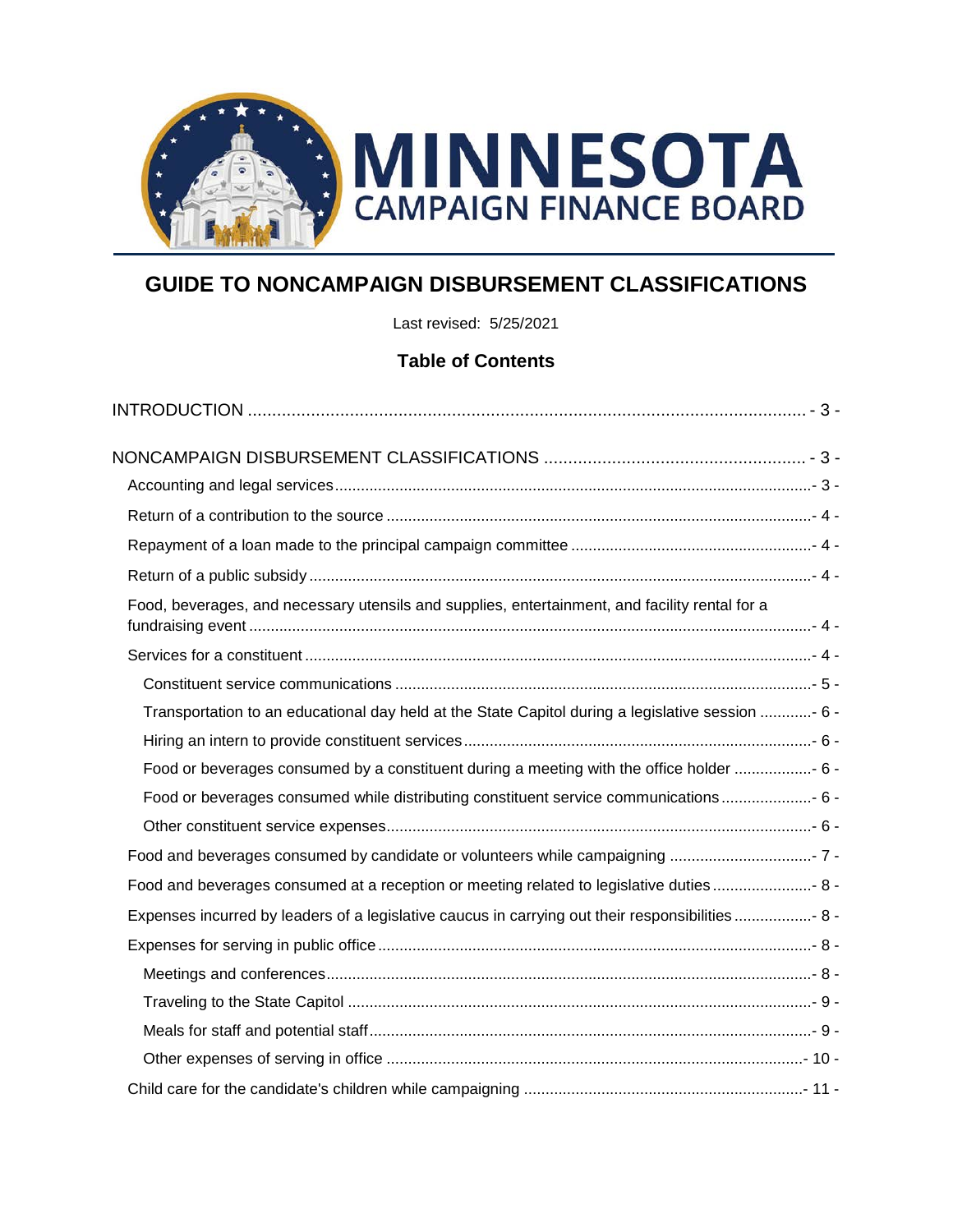

# **GUIDE TO NONCAMPAIGN DISBURSEMENT CLASSIFICATIONS**

Last revised: 5/25/2021

## **Table of Contents**

| Food, beverages, and necessary utensils and supplies, entertainment, and facility rental for a    |  |
|---------------------------------------------------------------------------------------------------|--|
|                                                                                                   |  |
|                                                                                                   |  |
| Transportation to an educational day held at the State Capitol during a legislative session - 6 - |  |
|                                                                                                   |  |
| Food or beverages consumed by a constituent during a meeting with the office holder  6 -          |  |
| Food or beverages consumed while distributing constituent service communications  6 -             |  |
|                                                                                                   |  |
|                                                                                                   |  |
| Food and beverages consumed at a reception or meeting related to legislative duties  8 -          |  |
| Expenses incurred by leaders of a legislative caucus in carrying out their responsibilities  8 -  |  |
|                                                                                                   |  |
|                                                                                                   |  |
|                                                                                                   |  |
|                                                                                                   |  |
|                                                                                                   |  |
|                                                                                                   |  |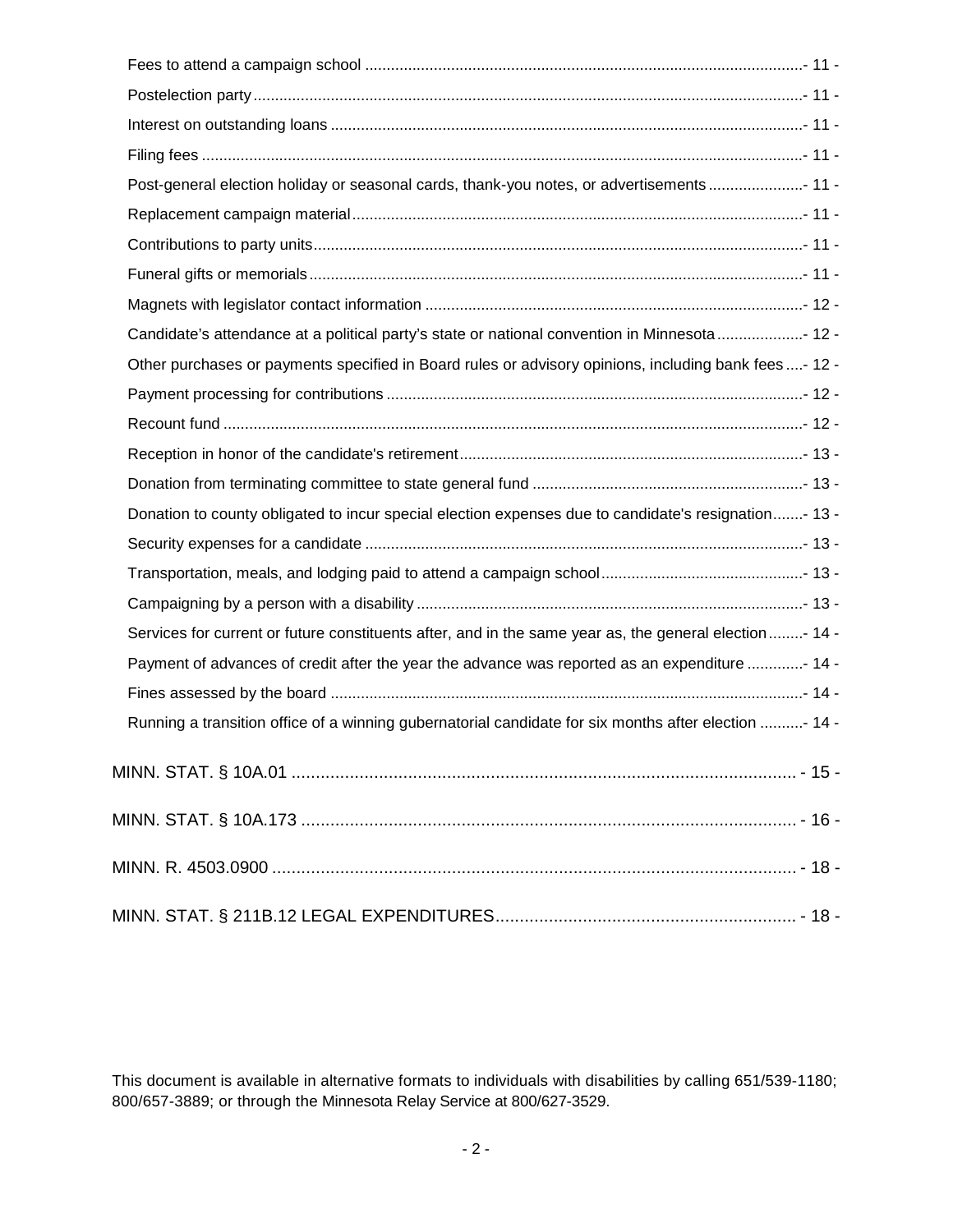| Post-general election holiday or seasonal cards, thank-you notes, or advertisements 11 -                |  |
|---------------------------------------------------------------------------------------------------------|--|
|                                                                                                         |  |
|                                                                                                         |  |
|                                                                                                         |  |
|                                                                                                         |  |
| Candidate's attendance at a political party's state or national convention in Minnesota  12 -           |  |
| Other purchases or payments specified in Board rules or advisory opinions, including bank fees- 12 -    |  |
|                                                                                                         |  |
|                                                                                                         |  |
|                                                                                                         |  |
|                                                                                                         |  |
| Donation to county obligated to incur special election expenses due to candidate's resignation- 13 -    |  |
|                                                                                                         |  |
|                                                                                                         |  |
|                                                                                                         |  |
| Services for current or future constituents after, and in the same year as, the general election - 14 - |  |
| Payment of advances of credit after the year the advance was reported as an expenditure - 14 -          |  |
|                                                                                                         |  |
| Running a transition office of a winning gubernatorial candidate for six months after election - 14 -   |  |
|                                                                                                         |  |
|                                                                                                         |  |
|                                                                                                         |  |
|                                                                                                         |  |

This document is available in alternative formats to individuals with disabilities by calling 651/539-1180; 800/657-3889; or through the Minnesota Relay Service at 800/627-3529.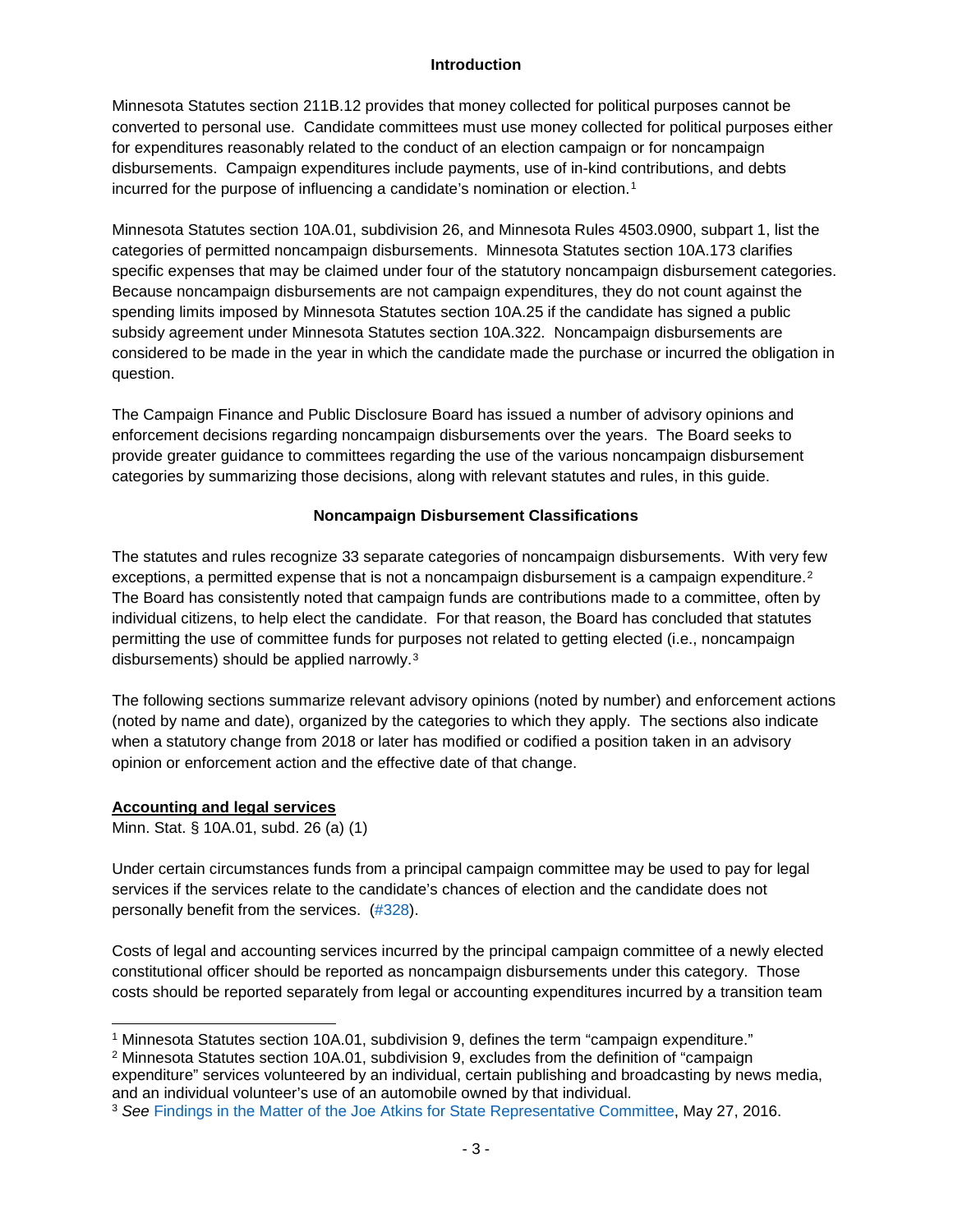#### **Introduction**

<span id="page-2-0"></span>Minnesota Statutes section 211B.12 provides that money collected for political purposes cannot be converted to personal use. Candidate committees must use money collected for political purposes either for expenditures reasonably related to the conduct of an election campaign or for noncampaign disbursements. Campaign expenditures include payments, use of in-kind contributions, and debts incurred for the purpose of influencing a candidate's nomination or election.<sup>[1](#page-2-3)</sup>

Minnesota Statutes section 10A.01, subdivision 26, and Minnesota Rules 4503.0900, subpart 1, list the categories of permitted noncampaign disbursements. Minnesota Statutes section 10A.173 clarifies specific expenses that may be claimed under four of the statutory noncampaign disbursement categories. Because noncampaign disbursements are not campaign expenditures, they do not count against the spending limits imposed by Minnesota Statutes section 10A.25 if the candidate has signed a public subsidy agreement under Minnesota Statutes section 10A.322. Noncampaign disbursements are considered to be made in the year in which the candidate made the purchase or incurred the obligation in question.

The Campaign Finance and Public Disclosure Board has issued a number of advisory opinions and enforcement decisions regarding noncampaign disbursements over the years. The Board seeks to provide greater guidance to committees regarding the use of the various noncampaign disbursement categories by summarizing those decisions, along with relevant statutes and rules, in this guide.

## **Noncampaign Disbursement Classifications**

<span id="page-2-1"></span>The statutes and rules recognize 33 separate categories of noncampaign disbursements. With very few exceptions, a permitted expense that is not a noncampaign disbursement is a campaign expenditure.<sup>[2](#page-2-4)</sup> The Board has consistently noted that campaign funds are contributions made to a committee, often by individual citizens, to help elect the candidate. For that reason, the Board has concluded that statutes permitting the use of committee funds for purposes not related to getting elected (i.e., noncampaign disbursements) should be applied narrowly.[3](#page-2-5)

The following sections summarize relevant advisory opinions (noted by number) and enforcement actions (noted by name and date), organized by the categories to which they apply. The sections also indicate when a statutory change from 2018 or later has modified or codified a position taken in an advisory opinion or enforcement action and the effective date of that change.

## <span id="page-2-2"></span>**Accounting and legal services**

Minn. Stat. § 10A.01, subd. 26 (a) (1)

Under certain circumstances funds from a principal campaign committee may be used to pay for legal services if the services relate to the candidate's chances of election and the candidate does not personally benefit from the services. [\(#328\)](https://cfb.mn.gov/pdf/advisory_opinions/AO328.pdf?t=1575321826).

Costs of legal and accounting services incurred by the principal campaign committee of a newly elected constitutional officer should be reported as noncampaign disbursements under this category. Those costs should be reported separately from legal or accounting expenditures incurred by a transition team

<span id="page-2-3"></span> <sup>1</sup> Minnesota Statutes section 10A.01, subdivision 9, defines the term "campaign expenditure."

<span id="page-2-4"></span><sup>2</sup> Minnesota Statutes section 10A.01, subdivision 9, excludes from the definition of "campaign expenditure" services volunteered by an individual, certain publishing and broadcasting by news media, and an individual volunteer's use of an automobile owned by that individual.

<span id="page-2-5"></span><sup>3</sup> *See* [Findings in the Matter of the Joe Atkins for State Representative Committee,](https://cfb.mn.gov/pdf/bdactions/1398_Findings.pdf?t=1575321978) May 27, 2016.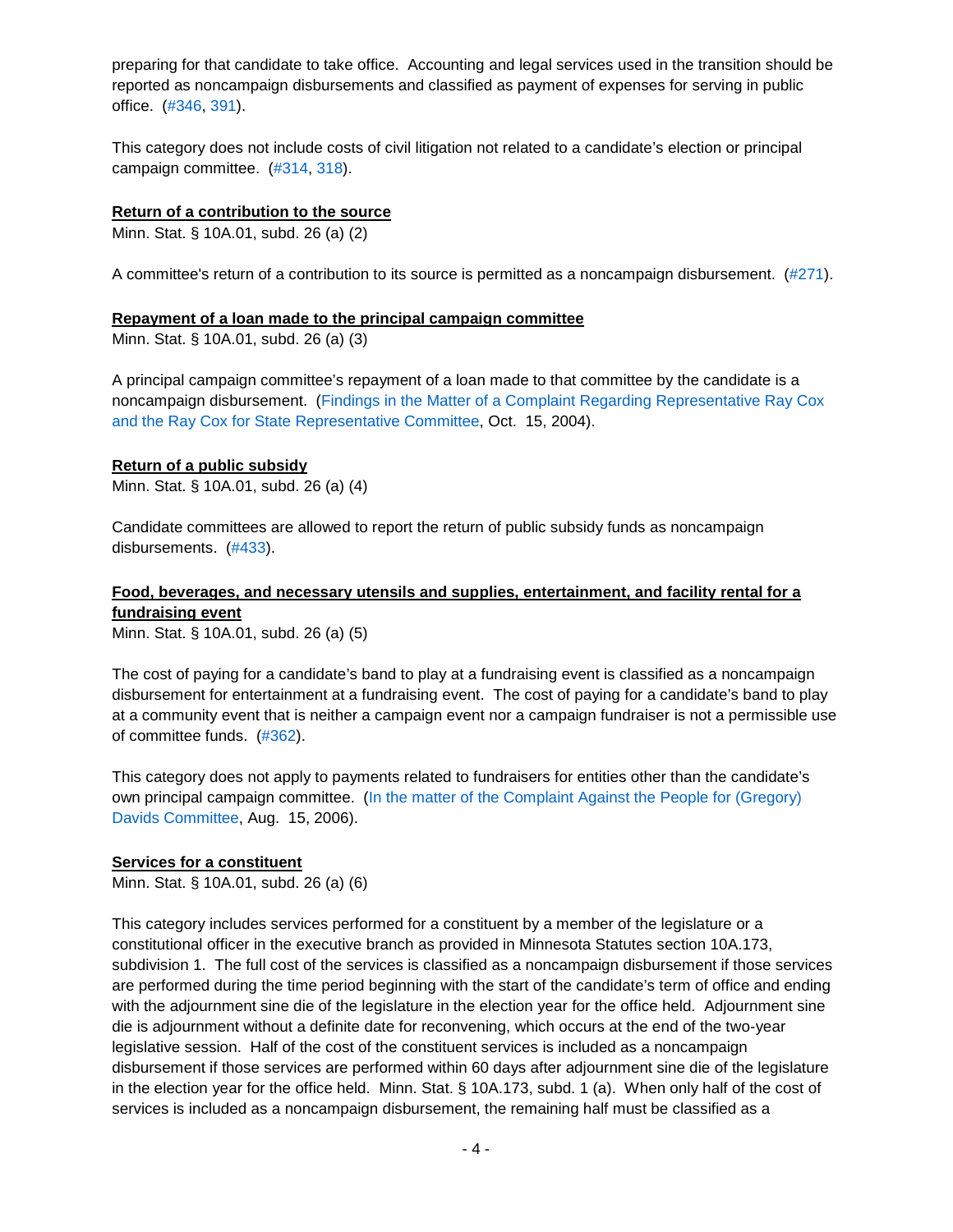preparing for that candidate to take office. Accounting and legal services used in the transition should be reported as noncampaign disbursements and classified as payment of expenses for serving in public office. [\(#346,](https://cfb.mn.gov/pdf/advisory_opinions/AO346.pdf?t=1575322143) [391\)](https://cfb.mn.gov/pdf/advisory_opinions/AO391.pdf?t=1575322238).

This category does not include costs of civil litigation not related to a candidate's election or principal campaign committee. [\(#314,](https://cfb.mn.gov/pdf/advisory_opinions/AO314.pdf?t=1575322315) [318\)](https://cfb.mn.gov/pdf/advisory_opinions/AO318.pdf?t=1575322365).

#### <span id="page-3-0"></span>**Return of a contribution to the source**

Minn. Stat. § 10A.01, subd. 26 (a) (2)

A committee's return of a contribution to its source is permitted as a noncampaign disbursement. [\(#271\)](https://cfb.mn.gov/pdf/advisory_opinions/AO271.pdf?t=1575322400).

#### <span id="page-3-1"></span>**Repayment of a loan made to the principal campaign committee**

Minn. Stat. § 10A.01, subd. 26 (a) (3)

A principal campaign committee's repayment of a loan made to that committee by the candidate is a noncampaign disbursement. [\(Findings in the Matter of a Complaint Regarding Representative Ray Cox](https://cfb.mn.gov/pdf/bdactions/archive/findings/101504Cox.pdf?t=1575322474)  [and the Ray Cox for State Representative Committee,](https://cfb.mn.gov/pdf/bdactions/archive/findings/101504Cox.pdf?t=1575322474) Oct. 15, 2004).

#### <span id="page-3-2"></span>**Return of a public subsidy**

Minn. Stat. § 10A.01, subd. 26 (a) (4)

Candidate committees are allowed to report the return of public subsidy funds as noncampaign disbursements. [\(#433\)](https://cfb.mn.gov/pdf/advisory_opinions/AO433.pdf?t=1575322541).

## <span id="page-3-3"></span>**Food, beverages, and necessary utensils and supplies, entertainment, and facility rental for a fundraising event**

Minn. Stat. § 10A.01, subd. 26 (a) (5)

The cost of paying for a candidate's band to play at a fundraising event is classified as a noncampaign disbursement for entertainment at a fundraising event. The cost of paying for a candidate's band to play at a community event that is neither a campaign event nor a campaign fundraiser is not a permissible use of committee funds. [\(#362\)](https://cfb.mn.gov/pdf/advisory_opinions/AO362.pdf?t=1575322617).

This category does not apply to payments related to fundraisers for entities other than the candidate's own principal campaign committee. [\(In the matter of the Complaint Against the People for \(Gregory\)](https://cfb.mn.gov/pdf/bdactions/897_Findings.pdf?t=1575322699)  [Davids Committee,](https://cfb.mn.gov/pdf/bdactions/897_Findings.pdf?t=1575322699) Aug. 15, 2006).

#### <span id="page-3-4"></span>**Services for a constituent**

Minn. Stat. § 10A.01, subd. 26 (a) (6)

This category includes services performed for a constituent by a member of the legislature or a constitutional officer in the executive branch as provided in Minnesota Statutes section 10A.173, subdivision 1. The full cost of the services is classified as a noncampaign disbursement if those services are performed during the time period beginning with the start of the candidate's term of office and ending with the adjournment sine die of the legislature in the election year for the office held. Adjournment sine die is adjournment without a definite date for reconvening, which occurs at the end of the two-year legislative session. Half of the cost of the constituent services is included as a noncampaign disbursement if those services are performed within 60 days after adjournment sine die of the legislature in the election year for the office held. Minn. Stat. § 10A.173, subd. 1 (a). When only half of the cost of services is included as a noncampaign disbursement, the remaining half must be classified as a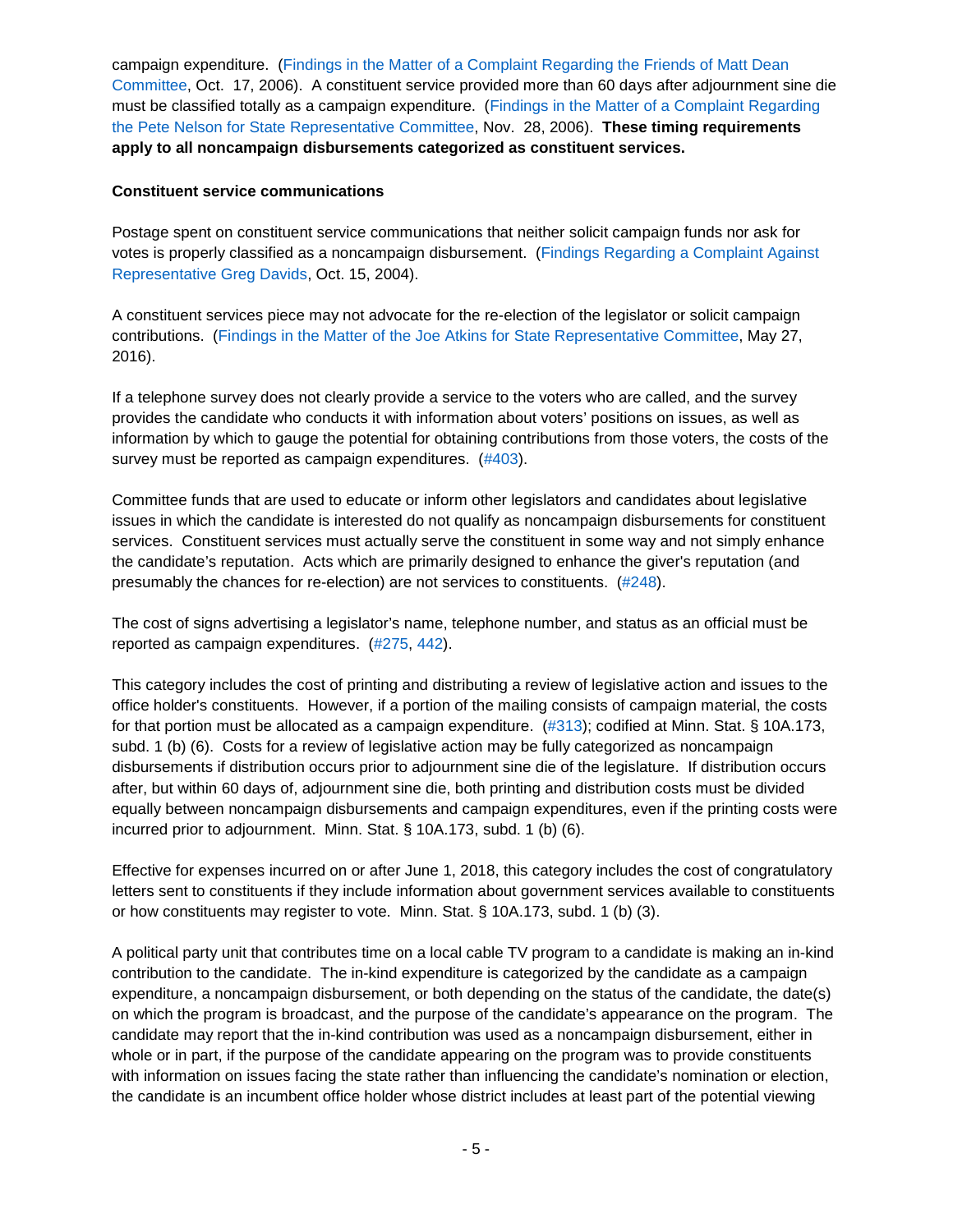campaign expenditure. (Findings in the Matter of a [Complaint Regarding the Friends of Matt Dean](https://cfb.mn.gov/pdf/bdactions/927_Findings.pdf?t=1575412453)  [Committee,](https://cfb.mn.gov/pdf/bdactions/927_Findings.pdf?t=1575412453) Oct. 17, 2006). A constituent service provided more than 60 days after adjournment sine die must be classified totally as a campaign expenditure. [\(Findings in the Matter of a](https://cfb.mn.gov/pdf/bdactions/931_Findings.pdf?t=1575412549) Complaint Regarding [the Pete Nelson for State Representative Committee,](https://cfb.mn.gov/pdf/bdactions/931_Findings.pdf?t=1575412549) Nov. 28, 2006). **These timing requirements apply to all noncampaign disbursements categorized as constituent services.**

#### <span id="page-4-0"></span>**Constituent service communications**

Postage spent on constituent service communications that neither solicit campaign funds nor ask for votes is properly classified as a noncampaign disbursement. [\(Findings Regarding a Complaint Against](https://cfb.mn.gov/pdf/bdactions/754_Findings.pdf?t=1575412614)  [Representative Greg Davids,](https://cfb.mn.gov/pdf/bdactions/754_Findings.pdf?t=1575412614) Oct. 15, 2004).

A constituent services piece may not advocate for the re-election of the legislator or solicit campaign contributions. [\(Findings in the Matter of the Joe Atkins for State Representative Committee,](https://cfb.mn.gov/pdf/bdactions/1398_Findings.pdf?t=1575321978) May 27, 2016).

If a telephone survey does not clearly provide a service to the voters who are called, and the survey provides the candidate who conducts it with information about voters' positions on issues, as well as information by which to gauge the potential for obtaining contributions from those voters, the costs of the survey must be reported as campaign expenditures. [\(#403\)](https://cfb.mn.gov/pdf/advisory_opinions/AO403.pdf?t=1575412741).

Committee funds that are used to educate or inform other legislators and candidates about legislative issues in which the candidate is interested do not qualify as noncampaign disbursements for constituent services. Constituent services must actually serve the constituent in some way and not simply enhance the candidate's reputation. Acts which are primarily designed to enhance the giver's reputation (and presumably the chances for re-election) are not services to constituents. [\(#248\)](https://cfb.mn.gov/pdf/advisory_opinions/AO248.pdf?t=1575412776).

The cost of signs advertising a legislator's name, telephone number, and status as an official must be reported as campaign expenditures. [\(#275,](https://cfb.mn.gov/pdf/advisory_opinions/AO275.pdf?t=1575412809) [442\)](https://cfb.mn.gov/pdf/advisory_opinions/AO442.pdf?t=1575412858).

This category includes the cost of printing and distributing a review of legislative action and issues to the office holder's constituents. However, if a portion of the mailing consists of campaign material, the costs for that portion must be allocated as a campaign expenditure.  $(\#313)$ ; codified at Minn. Stat. § 10A.173, subd. 1 (b) (6). Costs for a review of legislative action may be fully categorized as noncampaign disbursements if distribution occurs prior to adjournment sine die of the legislature. If distribution occurs after, but within 60 days of, adjournment sine die, both printing and distribution costs must be divided equally between noncampaign disbursements and campaign expenditures, even if the printing costs were incurred prior to adjournment. Minn. Stat. § 10A.173, subd. 1 (b) (6).

Effective for expenses incurred on or after June 1, 2018, this category includes the cost of congratulatory letters sent to constituents if they include information about government services available to constituents or how constituents may register to vote. Minn. Stat. § 10A.173, subd. 1 (b) (3).

A political party unit that contributes time on a local cable TV program to a candidate is making an in-kind contribution to the candidate. The in-kind expenditure is categorized by the candidate as a campaign expenditure, a noncampaign disbursement, or both depending on the status of the candidate, the date(s) on which the program is broadcast, and the purpose of the candidate's appearance on the program. The candidate may report that the in-kind contribution was used as a noncampaign disbursement, either in whole or in part, if the purpose of the candidate appearing on the program was to provide constituents with information on issues facing the state rather than influencing the candidate's nomination or election, the candidate is an incumbent office holder whose district includes at least part of the potential viewing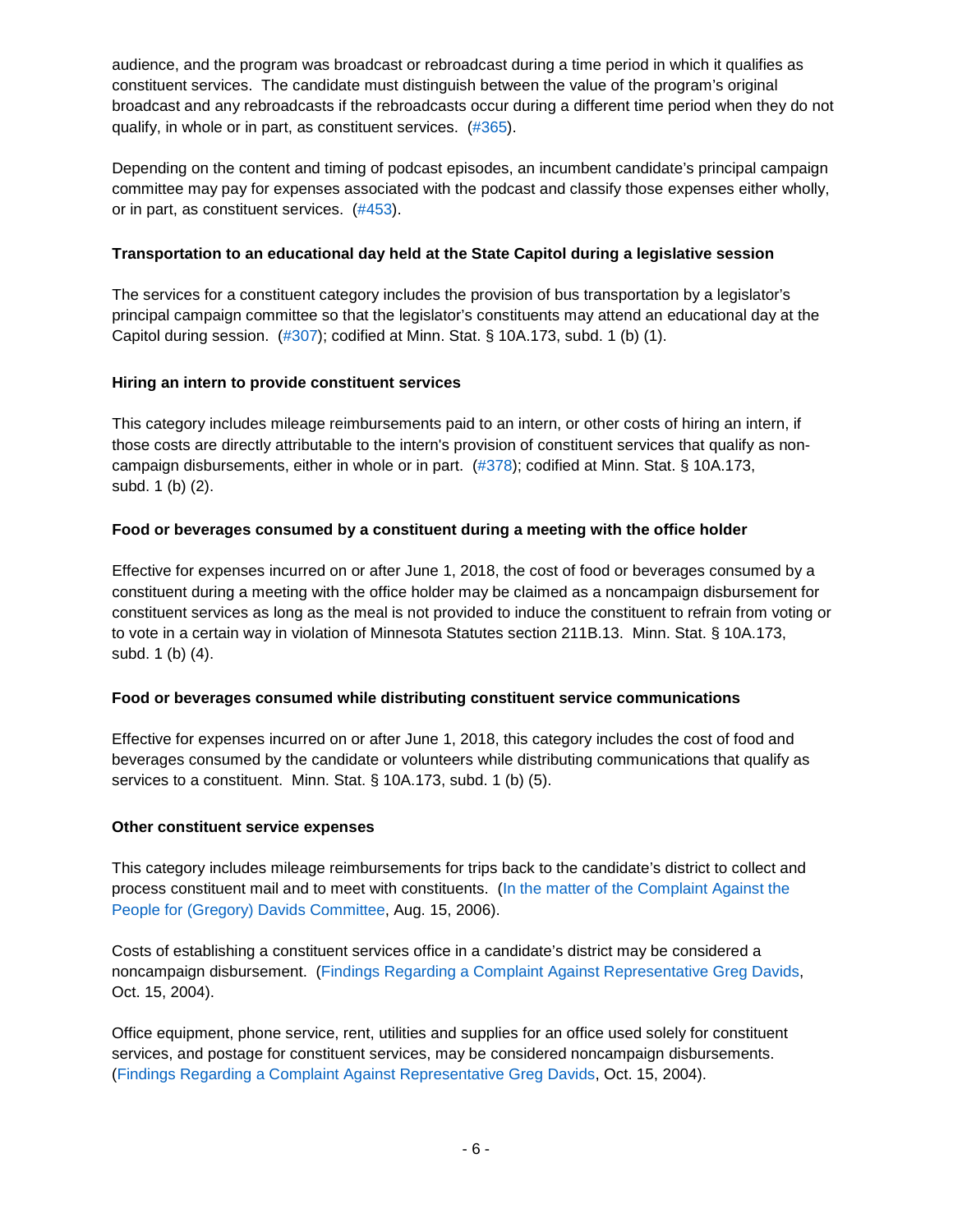audience, and the program was broadcast or rebroadcast during a time period in which it qualifies as constituent services. The candidate must distinguish between the value of the program's original broadcast and any rebroadcasts if the rebroadcasts occur during a different time period when they do not qualify, in whole or in part, as constituent services. [\(#365\)](https://cfb.mn.gov/pdf/advisory_opinions/AO365.pdf?t=1575412976).

Depending on the content and timing of podcast episodes, an incumbent candidate's principal campaign committee may pay for expenses associated with the podcast and classify those expenses either wholly, or in part, as constituent services. [\(#453\)](https://cfb.mn.gov/pdf/advisory_opinions/AO453.pdf).

## <span id="page-5-0"></span>**Transportation to an educational day held at the State Capitol during a legislative session**

The services for a constituent category includes the provision of bus transportation by a legislator's principal campaign committee so that the legislator's constituents may attend an educational day at the Capitol during session. [\(#307\)](https://cfb.mn.gov/pdf/advisory_opinions/AO307.pdf?t=1575413051); codified at Minn. Stat. § 10A.173, subd. 1 (b) (1).

## <span id="page-5-1"></span>**Hiring an intern to provide constituent services**

This category includes mileage reimbursements paid to an intern, or other costs of hiring an intern, if those costs are directly attributable to the intern's provision of constituent services that qualify as noncampaign disbursements, either in whole or in part. [\(#378\)](https://cfb.mn.gov/pdf/advisory_opinions/AO378.pdf?t=1575413082); codified at Minn. Stat. § 10A.173, subd. 1 (b) (2).

## <span id="page-5-2"></span>**Food or beverages consumed by a constituent during a meeting with the office holder**

Effective for expenses incurred on or after June 1, 2018, the cost of food or beverages consumed by a constituent during a meeting with the office holder may be claimed as a noncampaign disbursement for constituent services as long as the meal is not provided to induce the constituent to refrain from voting or to vote in a certain way in violation of Minnesota Statutes section 211B.13. Minn. Stat. § 10A.173, subd. 1 (b) (4).

## <span id="page-5-3"></span>**Food or beverages consumed while distributing constituent service communications**

Effective for expenses incurred on or after June 1, 2018, this category includes the cost of food and beverages consumed by the candidate or volunteers while distributing communications that qualify as services to a constituent. Minn. Stat. § 10A.173, subd. 1 (b) (5).

## <span id="page-5-4"></span>**Other constituent service expenses**

This category includes mileage reimbursements for trips back to the candidate's district to collect and process constituent mail and to meet with constituents. [\(In the matter of the Complaint Against the](https://cfb.mn.gov/pdf/bdactions/897_Findings.pdf?t=1575322699)  [People for \(Gregory\) Davids Committee,](https://cfb.mn.gov/pdf/bdactions/897_Findings.pdf?t=1575322699) Aug. 15, 2006).

Costs of establishing a constituent services office in a candidate's district may be considered a noncampaign disbursement. [\(Findings Regarding a Complaint Against Representative Greg Davids,](https://cfb.mn.gov/pdf/bdactions/754_Findings.pdf?t=1575412614) Oct. 15, 2004).

Office equipment, phone service, rent, utilities and supplies for an office used solely for constituent services, and postage for constituent services, may be considered noncampaign disbursements. [\(Findings Regarding a Complaint Against](https://cfb.mn.gov/pdf/bdactions/754_Findings.pdf?t=1575412614) Representative Greg Davids, Oct. 15, 2004).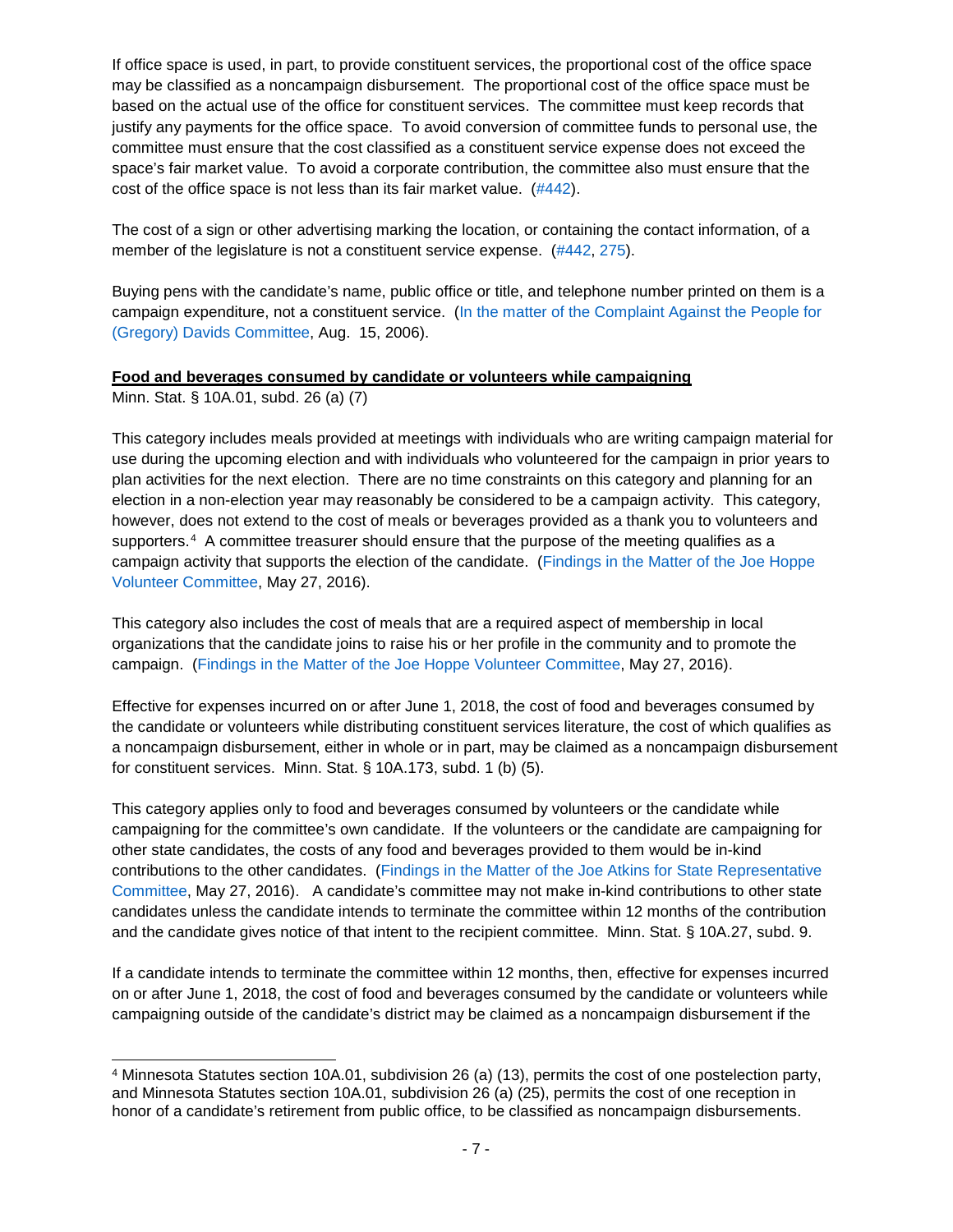If office space is used, in part, to provide constituent services, the proportional cost of the office space may be classified as a noncampaign disbursement. The proportional cost of the office space must be based on the actual use of the office for constituent services. The committee must keep records that justify any payments for the office space. To avoid conversion of committee funds to personal use, the committee must ensure that the cost classified as a constituent service expense does not exceed the space's fair market value. To avoid a corporate contribution, the committee also must ensure that the cost of the office space is not less than its fair market value. [\(#442\)](https://cfb.mn.gov/pdf/advisory_opinions/AO442.pdf?t=1575412858).

The cost of a sign or other advertising marking the location, or containing the contact information, of a member of the legislature is not a constituent service expense. [\(#442,](https://cfb.mn.gov/pdf/advisory_opinions/AO442.pdf?t=1575412858) [275\)](https://cfb.mn.gov/pdf/advisory_opinions/AO275.pdf?t=1575412809).

Buying pens with the candidate's name, public office or title, and telephone number printed on them is a campaign expenditure, not a constituent service. [\(In the matter of the Complaint Against the People for](https://cfb.mn.gov/pdf/bdactions/897_Findings.pdf?t=1575322699)  [\(Gregory\) Davids Committee,](https://cfb.mn.gov/pdf/bdactions/897_Findings.pdf?t=1575322699) Aug. 15, 2006).

## <span id="page-6-0"></span>**Food and beverages consumed by candidate or volunteers while campaigning**

Minn. Stat. § 10A.01, subd. 26 (a) (7)

This category includes meals provided at meetings with individuals who are writing campaign material for use during the upcoming election and with individuals who volunteered for the campaign in prior years to plan activities for the next election. There are no time constraints on this category and planning for an election in a non-election year may reasonably be considered to be a campaign activity. This category, however, does not extend to the cost of meals or beverages provided as a thank you to volunteers and supporters.<sup>[4](#page-6-1)</sup> A committee treasurer should ensure that the purpose of the meeting qualifies as a campaign activity that supports the election of the candidate. [\(Findings in the Matter of the Joe Hoppe](https://cfb.mn.gov/pdf/bdactions/1397_Findings.pdf?t=1575413165)  [Volunteer Committee,](https://cfb.mn.gov/pdf/bdactions/1397_Findings.pdf?t=1575413165) May 27, 2016).

This category also includes the cost of meals that are a required aspect of membership in local organizations that the candidate joins to raise his or her profile in the community and to promote the campaign. [\(Findings in the Matter of the Joe Hoppe Volunteer Committee,](https://cfb.mn.gov/pdf/bdactions/1397_Findings.pdf?t=1575413165) May 27, 2016).

Effective for expenses incurred on or after June 1, 2018, the cost of food and beverages consumed by the candidate or volunteers while distributing constituent services literature, the cost of which qualifies as a noncampaign disbursement, either in whole or in part, may be claimed as a noncampaign disbursement for constituent services. Minn. Stat. § 10A.173, subd. 1 (b) (5).

This category applies only to food and beverages consumed by volunteers or the candidate while campaigning for the committee's own candidate. If the volunteers or the candidate are campaigning for other state candidates, the costs of any food and beverages provided to them would be in-kind contributions to the other candidates. (Findings in the Matter [of the Joe Atkins for State Representative](https://cfb.mn.gov/pdf/bdactions/1398_Findings.pdf?t=1575321978)  [Committee,](https://cfb.mn.gov/pdf/bdactions/1398_Findings.pdf?t=1575321978) May 27, 2016). A candidate's committee may not make in-kind contributions to other state candidates unless the candidate intends to terminate the committee within 12 months of the contribution and the candidate gives notice of that intent to the recipient committee. Minn. Stat. § 10A.27, subd. 9.

If a candidate intends to terminate the committee within 12 months, then, effective for expenses incurred on or after June 1, 2018, the cost of food and beverages consumed by the candidate or volunteers while campaigning outside of the candidate's district may be claimed as a noncampaign disbursement if the

<span id="page-6-1"></span> <sup>4</sup> Minnesota Statutes section 10A.01, subdivision <sup>26</sup> (a) (13), permits the cost of one postelection party, and Minnesota Statutes section 10A.01, subdivision 26 (a) (25), permits the cost of one reception in honor of a candidate's retirement from public office, to be classified as noncampaign disbursements.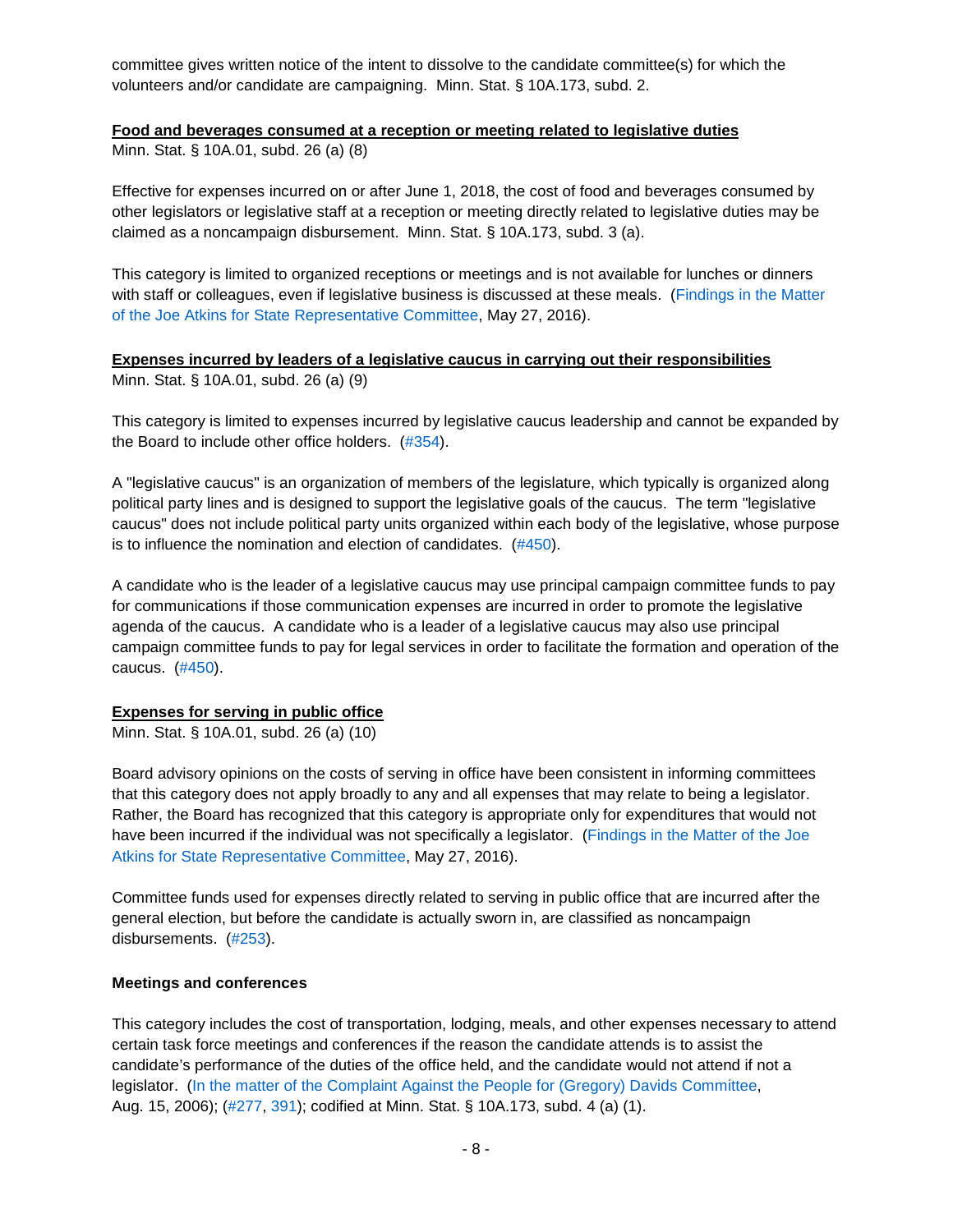committee gives written notice of the intent to dissolve to the candidate committee(s) for which the volunteers and/or candidate are campaigning. Minn. Stat. § 10A.173, subd. 2.

#### <span id="page-7-0"></span>**Food and beverages consumed at a reception or meeting related to legislative duties**

Minn. Stat. § 10A.01, subd. 26 (a) (8)

Effective for expenses incurred on or after June 1, 2018, the cost of food and beverages consumed by other legislators or legislative staff at a reception or meeting directly related to legislative duties may be claimed as a noncampaign disbursement. Minn. Stat. § 10A.173, subd. 3 (a).

This category is limited to organized receptions or meetings and is not available for lunches or dinners with staff or colleagues, even if legislative business is discussed at these meals. [\(Findings in the Matter](https://cfb.mn.gov/pdf/bdactions/1398_Findings.pdf?t=1575321978)  [of the Joe Atkins for State Representative Committee,](https://cfb.mn.gov/pdf/bdactions/1398_Findings.pdf?t=1575321978) May 27, 2016).

#### <span id="page-7-1"></span>**Expenses incurred by leaders of a legislative caucus in carrying out their responsibilities** Minn. Stat. § 10A.01, subd. 26 (a) (9)

This category is limited to expenses incurred by legislative caucus leadership and cannot be expanded by the Board to include other office holders. [\(#354\)](https://cfb.mn.gov/pdf/advisory_opinions/AO354.pdf?t=1575413387).

A "legislative caucus" is an organization of members of the legislature, which typically is organized along political party lines and is designed to support the legislative goals of the caucus. The term "legislative caucus" does not include political party units organized within each body of the legislative, whose purpose is to influence the nomination and election of candidates. [\(#450\)](https://cfb.mn.gov/pdf/advisory_opinions/AO450.pdf?t=1575413430).

A candidate who is the leader of a legislative caucus may use principal campaign committee funds to pay for communications if those communication expenses are incurred in order to promote the legislative agenda of the caucus. A candidate who is a leader of a legislative caucus may also use principal campaign committee funds to pay for legal services in order to facilitate the formation and operation of the caucus. [\(#450\)](https://cfb.mn.gov/pdf/advisory_opinions/AO450.pdf?t=1575413430).

## <span id="page-7-2"></span>**Expenses for serving in public office**

Minn. Stat. § 10A.01, subd. 26 (a) (10)

Board advisory opinions on the costs of serving in office have been consistent in informing committees that this category does not apply broadly to any and all expenses that may relate to being a legislator. Rather, the Board has recognized that this category is appropriate only for expenditures that would not have been incurred if the individual was not specifically a legislator. [\(Findings in the Matter of the Joe](https://cfb.mn.gov/pdf/bdactions/1398_Findings.pdf?t=1575321978)  [Atkins for State Representative Committee,](https://cfb.mn.gov/pdf/bdactions/1398_Findings.pdf?t=1575321978) May 27, 2016).

Committee funds used for expenses directly related to serving in public office that are incurred after the general election, but before the candidate is actually sworn in, are classified as noncampaign disbursements. [\(#253\)](https://cfb.mn.gov/pdf/advisory_opinions/AO253.pdf?t=1583506429).

#### <span id="page-7-3"></span>**Meetings and conferences**

This category includes the cost of transportation, lodging, meals, and other expenses necessary to attend certain task force meetings and conferences if the reason the candidate attends is to assist the candidate's performance of the duties of the office held, and the candidate would not attend if not a legislator. [\(In the matter of the Complaint Against the People for \(Gregory\) Davids Committee,](https://cfb.mn.gov/pdf/bdactions/897_Findings.pdf?t=1575322699) Aug. 15, 2006); [\(#277,](https://cfb.mn.gov/pdf/advisory_opinions/AO277.pdf?t=1583506520) [391\)](https://cfb.mn.gov/pdf/advisory_opinions/AO391.pdf?t=1575322238); codified at Minn. Stat. § 10A.173, subd. 4 (a) (1).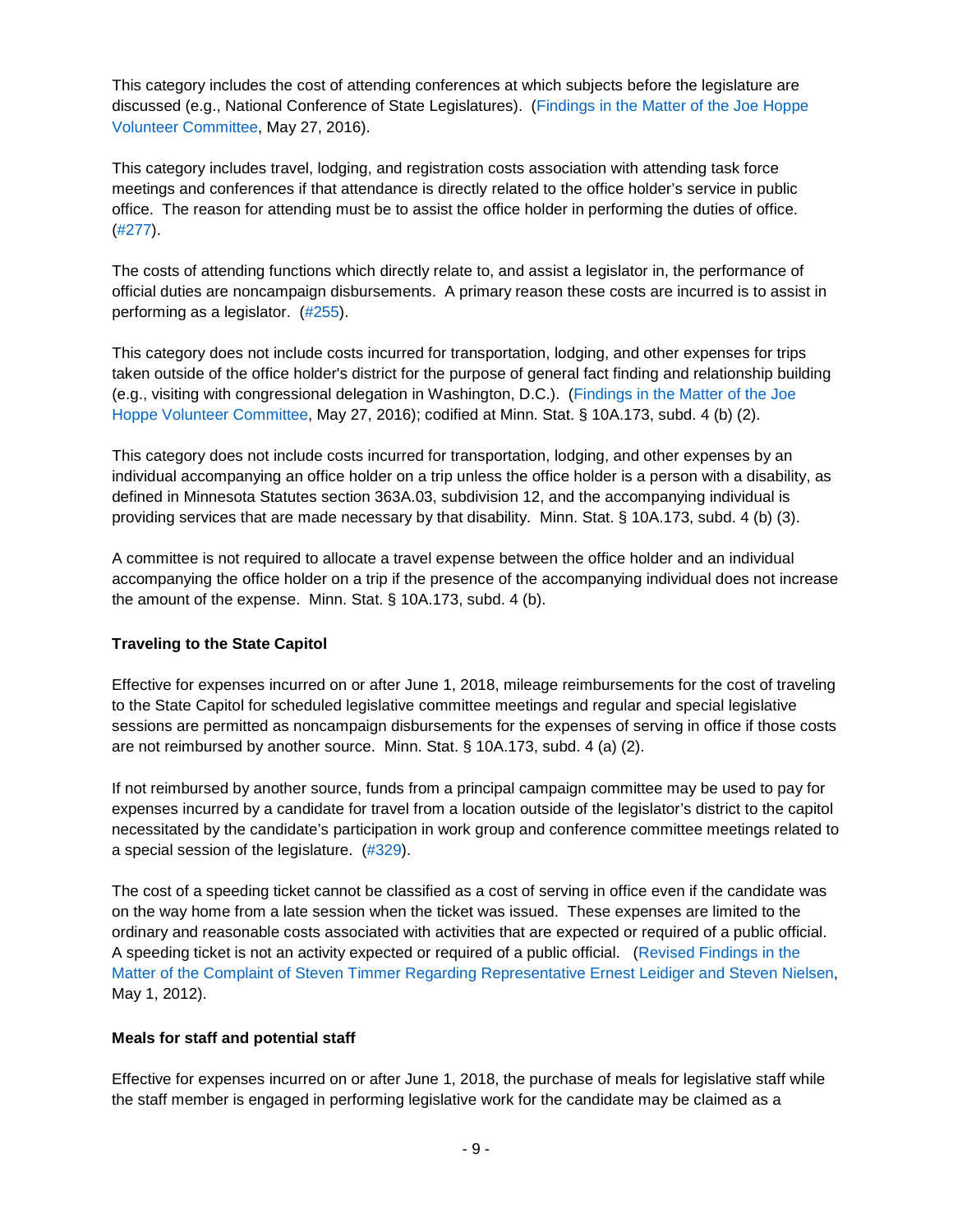This category includes the cost of attending conferences at which subjects before the legislature are discussed (e.g., National Conference of State Legislatures). [\(Findings in the Matter of the Joe Hoppe](https://cfb.mn.gov/pdf/bdactions/1397_Findings.pdf?t=1575413165)  [Volunteer Committee,](https://cfb.mn.gov/pdf/bdactions/1397_Findings.pdf?t=1575413165) May 27, 2016).

This category includes travel, lodging, and registration costs association with attending task force meetings and conferences if that attendance is directly related to the office holder's service in public office. The reason for attending must be to assist the office holder in performing the duties of office. [\(#277\)](https://cfb.mn.gov/pdf/advisory_opinions/AO277.pdf?t=1583506520).

The costs of attending functions which directly relate to, and assist a legislator in, the performance of official duties are noncampaign disbursements. A primary reason these costs are incurred is to assist in performing as a legislator. [\(#255\)](https://cfb.mn.gov/pdf/advisory_opinions/AO255.pdf?t=1583506584).

This category does not include costs incurred for transportation, lodging, and other expenses for trips taken outside of the office holder's district for the purpose of general fact finding and relationship building (e.g., visiting with congressional delegation in Washington, D.C.). [\(Findings in the Matter of the Joe](https://cfb.mn.gov/pdf/bdactions/1397_Findings.pdf?t=1575413165)  [Hoppe Volunteer Committee,](https://cfb.mn.gov/pdf/bdactions/1397_Findings.pdf?t=1575413165) May 27, 2016); codified at Minn. Stat. § 10A.173, subd. 4 (b) (2).

<span id="page-8-2"></span>This category does not include costs incurred for transportation, lodging, and other expenses by an individual accompanying an office holder on a trip unless the office holder is a person with a disability, as defined in Minnesota Statutes section 363A.03, subdivision 12, and the accompanying individual is providing services that are made necessary by that disability. Minn. Stat. § 10A.173, subd. 4 (b) (3).

A committee is not required to allocate a travel expense between the office holder and an individual accompanying the office holder on a trip if the presence of the accompanying individual does not increase the amount of the expense. Minn. Stat. § 10A.173, subd. 4 (b).

## <span id="page-8-0"></span>**Traveling to the State Capitol**

Effective for expenses incurred on or after June 1, 2018, mileage reimbursements for the cost of traveling to the State Capitol for scheduled legislative committee meetings and regular and special legislative sessions are permitted as noncampaign disbursements for the expenses of serving in office if those costs are not reimbursed by another source. Minn. Stat. § 10A.173, subd. 4 (a) (2).

If not reimbursed by another source, funds from a principal campaign committee may be used to pay for expenses incurred by a candidate for travel from a location outside of the legislator's district to the capitol necessitated by the candidate's participation in work group and conference committee meetings related to a special session of the legislature. [\(#329\)](https://cfb.mn.gov/pdf/advisory_opinions/AO329.pdf?t=1583506634).

The cost of a speeding ticket cannot be classified as a cost of serving in office even if the candidate was on the way home from a late session when the ticket was issued. These expenses are limited to the ordinary and reasonable costs associated with activities that are expected or required of a public official. A speeding ticket is not an activity expected or required of a public official. [\(Revised Findings](https://cfb.mn.gov/pdf/bdactions/1225_Revised_Findings.pdf?t=1583506703) in the [Matter of the Complaint of Steven Timmer Regarding Representative Ernest Leidiger and Steven Nielsen,](https://cfb.mn.gov/pdf/bdactions/1225_Revised_Findings.pdf?t=1583506703) May 1, 2012).

## <span id="page-8-1"></span>**Meals for staff and potential staff**

Effective for expenses incurred on or after June 1, 2018, the purchase of meals for legislative staff while the staff member is engaged in performing legislative work for the candidate may be claimed as a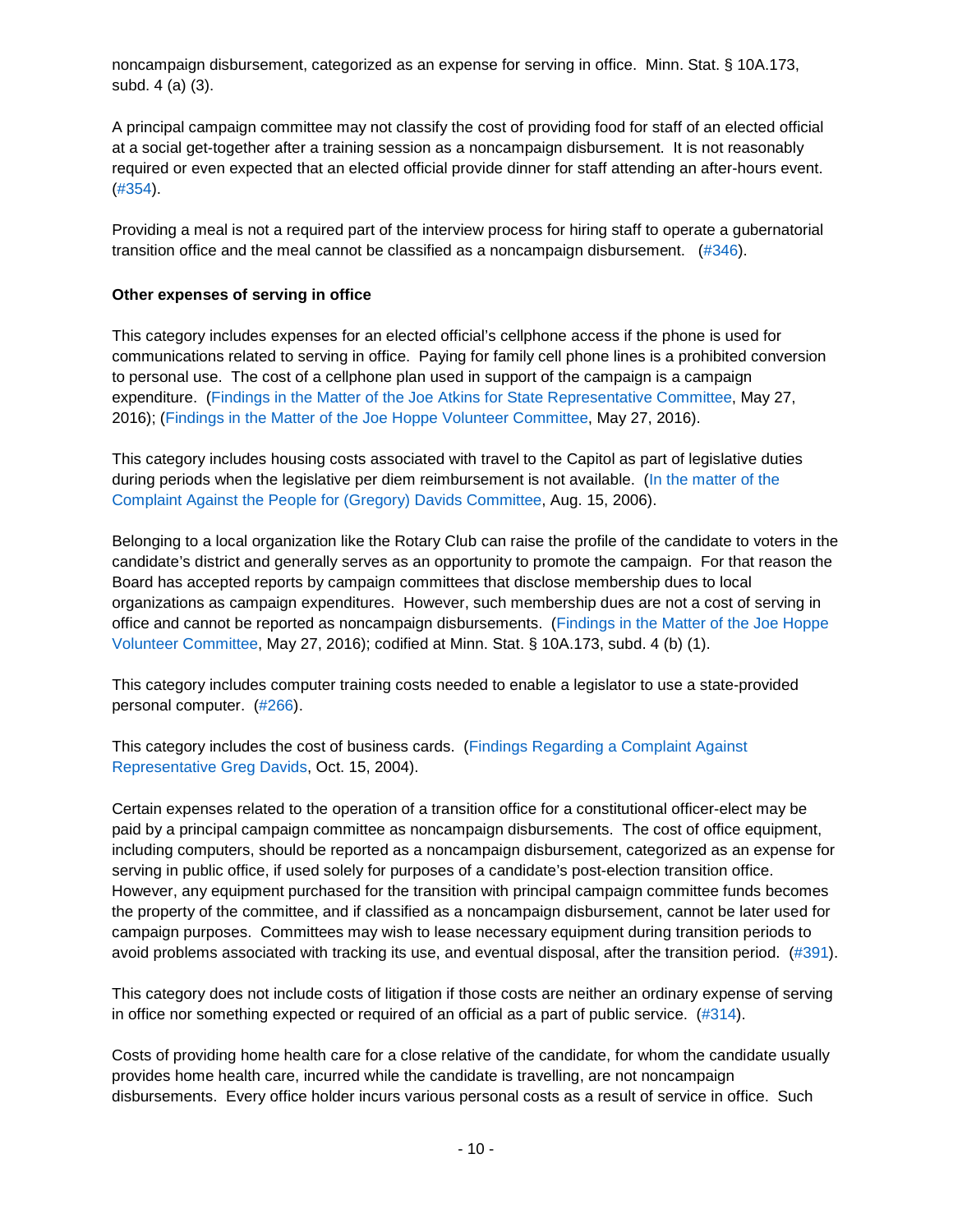noncampaign disbursement, categorized as an expense for serving in office. Minn. Stat. § 10A.173, subd. 4 (a) (3).

A principal campaign committee may not classify the cost of providing food for staff of an elected official at a social get-together after a training session as a noncampaign disbursement. It is not reasonably required or even expected that an elected official provide dinner for staff attending an after-hours event. [\(#354\)](https://cfb.mn.gov/pdf/advisory_opinions/AO354.pdf?t=1575413387).

Providing a meal is not a required part of the interview process for hiring staff to operate a gubernatorial transition office and the meal cannot be classified as a noncampaign disbursement. [\(#346\)](https://cfb.mn.gov/pdf/advisory_opinions/AO346.pdf?t=1575322143).

## <span id="page-9-0"></span>**Other expenses of serving in office**

This category includes expenses for an elected official's cellphone access if the phone is used for communications related to serving in office. Paying for family cell phone lines is a prohibited conversion to personal use. The cost of a cellphone plan used in support of the campaign is a campaign expenditure. [\(Findings in the Matter of the Joe Atkins for State Representative Committee,](https://cfb.mn.gov/pdf/bdactions/1398_Findings.pdf?t=1575321978) May 27, 2016); [\(Findings in the Matter of the Joe Hoppe Volunteer Committee,](https://cfb.mn.gov/pdf/bdactions/1397_Findings.pdf?t=1575413165) May 27, 2016).

This category includes housing costs associated with travel to the Capitol as part of legislative duties during periods when the legislative per diem reimbursement is not available. [\(In the matter of the](https://cfb.mn.gov/pdf/bdactions/897_Findings.pdf?t=1575322699)  [Complaint Against the People for \(Gregory\) Davids Committee,](https://cfb.mn.gov/pdf/bdactions/897_Findings.pdf?t=1575322699) Aug. 15, 2006).

Belonging to a local organization like the Rotary Club can raise the profile of the candidate to voters in the candidate's district and generally serves as an opportunity to promote the campaign. For that reason the Board has accepted reports by campaign committees that disclose membership dues to local organizations as campaign expenditures. However, such membership dues are not a cost of serving in office and cannot be reported as noncampaign disbursements. [\(Findings in the Matter of the Joe Hoppe](https://cfb.mn.gov/pdf/bdactions/1397_Findings.pdf?t=1575413165)  [Volunteer Committee,](https://cfb.mn.gov/pdf/bdactions/1397_Findings.pdf?t=1575413165) May 27, 2016); codified at Minn. Stat. § 10A.173, subd. 4 (b) (1).

This category includes computer training costs needed to enable a legislator to use a state-provided personal computer. [\(#266\)](https://cfb.mn.gov/pdf/advisory_opinions/AO266.pdf?t=1583506762).

This category includes the cost of business cards. [\(Findings Regarding a Complaint Against](https://cfb.mn.gov/pdf/bdactions/754_Findings.pdf?t=1575412614)  [Representative Greg Davids,](https://cfb.mn.gov/pdf/bdactions/754_Findings.pdf?t=1575412614) Oct. 15, 2004).

Certain expenses related to the operation of a transition office for a constitutional officer-elect may be paid by a principal campaign committee as noncampaign disbursements. The cost of office equipment, including computers, should be reported as a noncampaign disbursement, categorized as an expense for serving in public office, if used solely for purposes of a candidate's post-election transition office. However, any equipment purchased for the transition with principal campaign committee funds becomes the property of the committee, and if classified as a noncampaign disbursement, cannot be later used for campaign purposes. Committees may wish to lease necessary equipment during transition periods to avoid problems associated with tracking its use, and eventual disposal, after the transition period. [\(#391\)](https://cfb.mn.gov/pdf/advisory_opinions/AO391.pdf?t=1575322238).

This category does not include costs of litigation if those costs are neither an ordinary expense of serving in office nor something expected or required of an official as a part of public service. [\(#314\)](https://cfb.mn.gov/pdf/advisory_opinions/AO314.pdf?t=1575322315).

Costs of providing home health care for a close relative of the candidate, for whom the candidate usually provides home health care, incurred while the candidate is travelling, are not noncampaign disbursements. Every office holder incurs various personal costs as a result of service in office. Such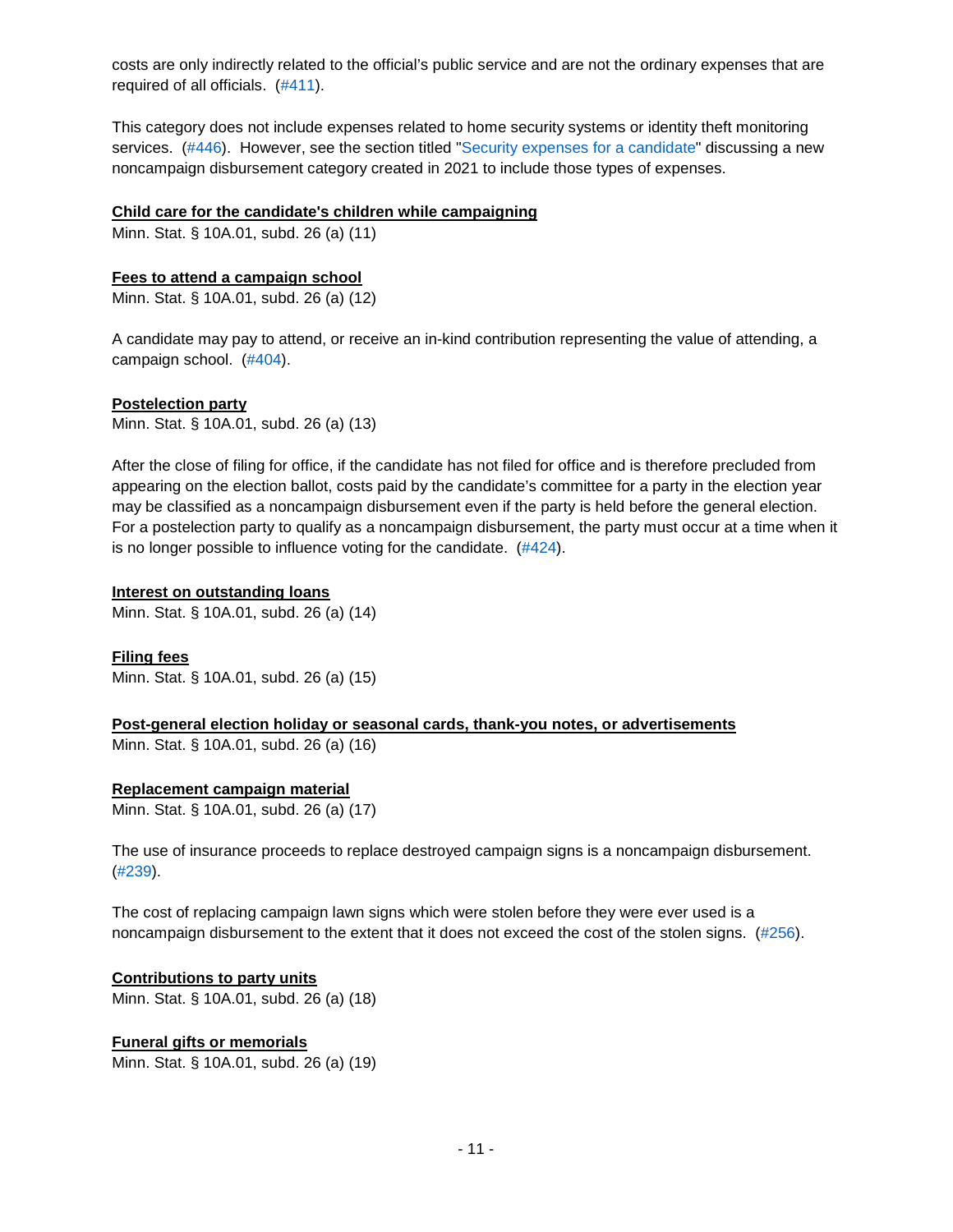costs are only indirectly related to the official's public service and are not the ordinary expenses that are required of all officials. [\(#411\)](https://cfb.mn.gov/pdf/advisory_opinions/AO411.pdf?t=1583506803).

This category does not include expenses related to home security systems or identity theft monitoring services. [\(#446\)](https://cfb.mn.gov/pdf/advisory_opinions/AO446.pdf?t=1583506844). However, see the section titled ["Security expenses for a candidate"](#page-12-3) discussing a new noncampaign disbursement category created in 2021 to include those types of expenses.

#### <span id="page-10-0"></span>**Child care for the candidate's children while campaigning**

Minn. Stat. § 10A.01, subd. 26 (a) (11)

#### <span id="page-10-1"></span>**Fees to attend a campaign school**

Minn. Stat. § 10A.01, subd. 26 (a) (12)

A candidate may pay to attend, or receive an in-kind contribution representing the value of attending, a campaign school. [\(#404\)](https://cfb.mn.gov/pdf/advisory_opinions/AO404.pdf?t=1583506879).

#### <span id="page-10-2"></span>**Postelection party**

Minn. Stat. § 10A.01, subd. 26 (a) (13)

After the close of filing for office, if the candidate has not filed for office and is therefore precluded from appearing on the election ballot, costs paid by the candidate's committee for a party in the election year may be classified as a noncampaign disbursement even if the party is held before the general election. For a postelection party to qualify as a noncampaign disbursement, the party must occur at a time when it is no longer possible to influence voting for the candidate. [\(#424\)](https://cfb.mn.gov/pdf/advisory_opinions/AO424.pdf?t=1583506924).

#### <span id="page-10-3"></span>**Interest on outstanding loans**

Minn. Stat. § 10A.01, subd. 26 (a) (14)

<span id="page-10-4"></span>**Filing fees** Minn. Stat. § 10A.01, subd. 26 (a) (15)

<span id="page-10-5"></span>**Post-general election holiday or seasonal cards, thank-you notes, or advertisements** Minn. Stat. § 10A.01, subd. 26 (a) (16)

#### <span id="page-10-6"></span>**Replacement campaign material**

Minn. Stat. § 10A.01, subd. 26 (a) (17)

The use of insurance proceeds to replace destroyed campaign signs is a noncampaign disbursement. [\(#239\)](https://cfb.mn.gov/pdf/advisory_opinions/AO239.pdf?t=1583506977).

The cost of replacing campaign lawn signs which were stolen before they were ever used is a noncampaign disbursement to the extent that it does not exceed the cost of the stolen signs. [\(#256\)](https://cfb.mn.gov/pdf/advisory_opinions/AO256.pdf?t=1583507008).

## <span id="page-10-7"></span>**Contributions to party units**

Minn. Stat. § 10A.01, subd. 26 (a) (18)

## <span id="page-10-8"></span>**Funeral gifts or memorials**

Minn. Stat. § 10A.01, subd. 26 (a) (19)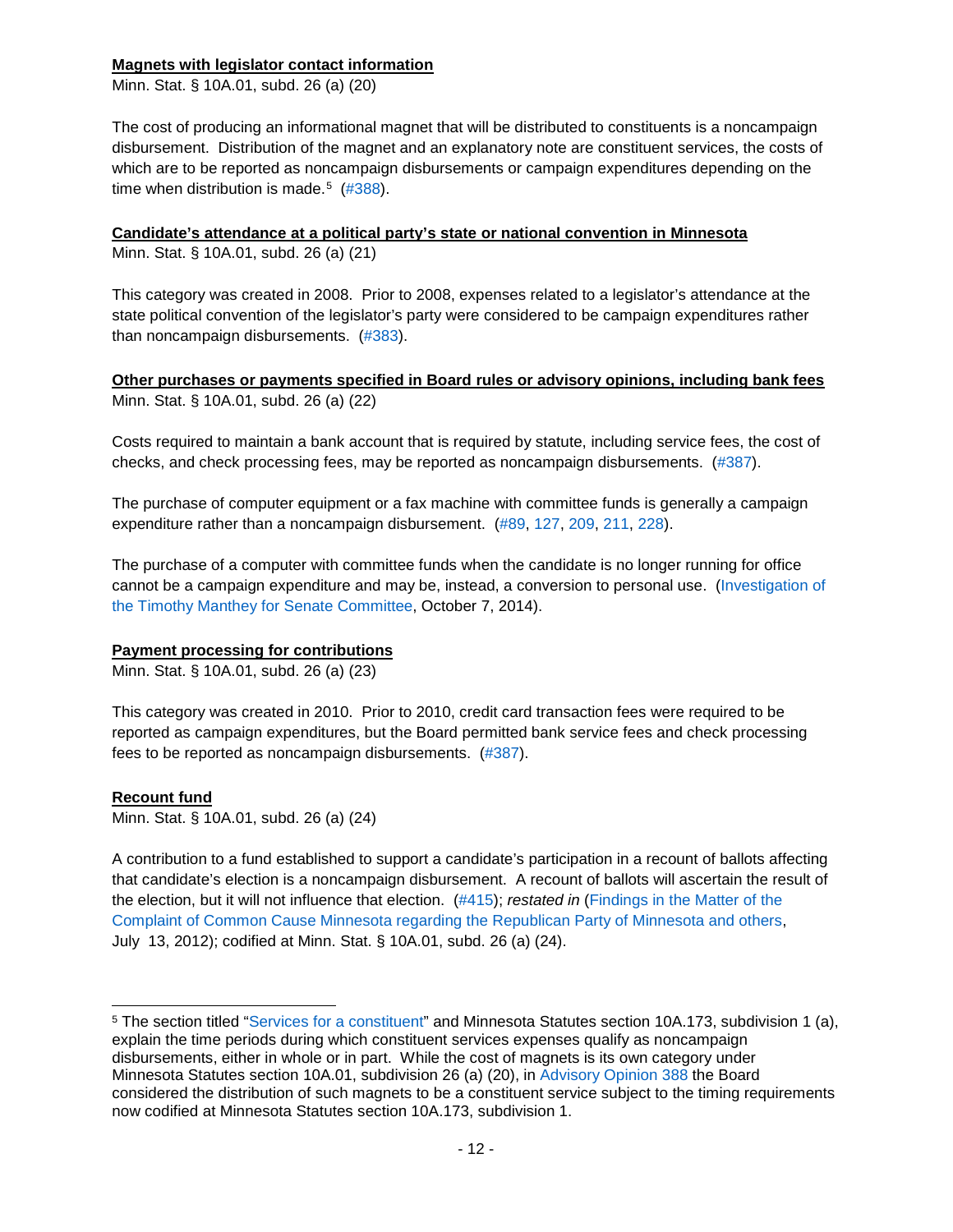## <span id="page-11-0"></span>**Magnets with legislator contact information**

Minn. Stat. § 10A.01, subd. 26 (a) (20)

The cost of producing an informational magnet that will be distributed to constituents is a noncampaign disbursement. Distribution of the magnet and an explanatory note are constituent services, the costs of which are to be reported as noncampaign disbursements or campaign expenditures depending on the time when distribution is made.<sup>[5](#page-11-5)</sup>  $(\#388)$ .

#### <span id="page-11-1"></span>**Candidate's attendance at a political party's state or national convention in Minnesota**

Minn. Stat. § 10A.01, subd. 26 (a) (21)

This category was created in 2008. Prior to 2008, expenses related to a legislator's attendance at the state political convention of the legislator's party were considered to be campaign expenditures rather than noncampaign disbursements. [\(#383\)](https://cfb.mn.gov/pdf/advisory_opinions/AO383.pdf?t=1583507114).

<span id="page-11-2"></span>**Other purchases or payments specified in Board rules or advisory opinions, including bank fees** Minn. Stat. § 10A.01, subd. 26 (a) (22)

Costs required to maintain a bank account that is required by statute, including service fees, the cost of checks, and check processing fees, may be reported as noncampaign disbursements. [\(#387\)](https://cfb.mn.gov/pdf/advisory_opinions/AO387.pdf?t=1583507152).

The purchase of computer equipment or a fax machine with committee funds is generally a campaign expenditure rather than a noncampaign disbursement. [\(#89,](https://cfb.mn.gov/pdf/advisory_opinions/AO89.pdf?t=1583507219) [127,](https://cfb.mn.gov/pdf/advisory_opinions/AO127.pdf?t=1583507253) [209,](https://cfb.mn.gov/pdf/advisory_opinions/AO209.pdf?t=1583507290) [211,](https://cfb.mn.gov/pdf/advisory_opinions/AO211.pdf?t=1583507318) [228\)](https://cfb.mn.gov/pdf/advisory_opinions/AO228.pdf?t=1583507350).

The purchase of a computer with committee funds when the candidate is no longer running for office cannot be a campaign expenditure and may be, instead, a conversion to personal use. [\(Investigation of](https://cfb.mn.gov/pdf/bdactions/1313_Findings.pdf?t=1583507412)  [the Timothy Manthey for Senate Committee,](https://cfb.mn.gov/pdf/bdactions/1313_Findings.pdf?t=1583507412) October 7, 2014).

## <span id="page-11-3"></span>**Payment processing for contributions**

Minn. Stat. § 10A.01, subd. 26 (a) (23)

This category was created in 2010. Prior to 2010, credit card transaction fees were required to be reported as campaign expenditures, but the Board permitted bank service fees and check processing fees to be reported as noncampaign disbursements. [\(#387\)](https://cfb.mn.gov/pdf/advisory_opinions/AO387.pdf?t=1583507152).

#### <span id="page-11-4"></span>**Recount fund**

Minn. Stat. § 10A.01, subd. 26 (a) (24)

A contribution to a fund established to support a candidate's participation in a recount of ballots affecting that candidate's election is a noncampaign disbursement. A recount of ballots will ascertain the result of the election, but it will not influence that election. [\(#415\)](https://cfb.mn.gov/pdf/advisory_opinions/AO415.pdf?t=1583507571); *restated in* [\(Findings in the Matter of the](https://cfb.mn.gov/pdf/bdactions/1232_Findings.pdf?t=1583507528)  [Complaint of Common Cause Minnesota regarding the Republican Party of Minnesota and others,](https://cfb.mn.gov/pdf/bdactions/1232_Findings.pdf?t=1583507528) July 13, 2012); codified at Minn. Stat. § 10A.01, subd. 26 (a) (24).

<span id="page-11-5"></span> <sup>5</sup> The section titled ["Services for a constituent"](#page-3-4) and Minnesota Statutes section 10A.173, subdivision 1 (a), explain the time periods during which constituent services expenses qualify as noncampaign disbursements, either in whole or in part. While the cost of magnets is its own category under Minnesota Statutes section 10A.01, subdivision 26 (a) (20), in [Advisory Opinion 388](https://cfb.mn.gov/pdf/advisory_opinions/AO388.pdf?t=1583507051) the Board considered the distribution of such magnets to be a constituent service subject to the timing requirements now codified at Minnesota Statutes section 10A.173, subdivision 1.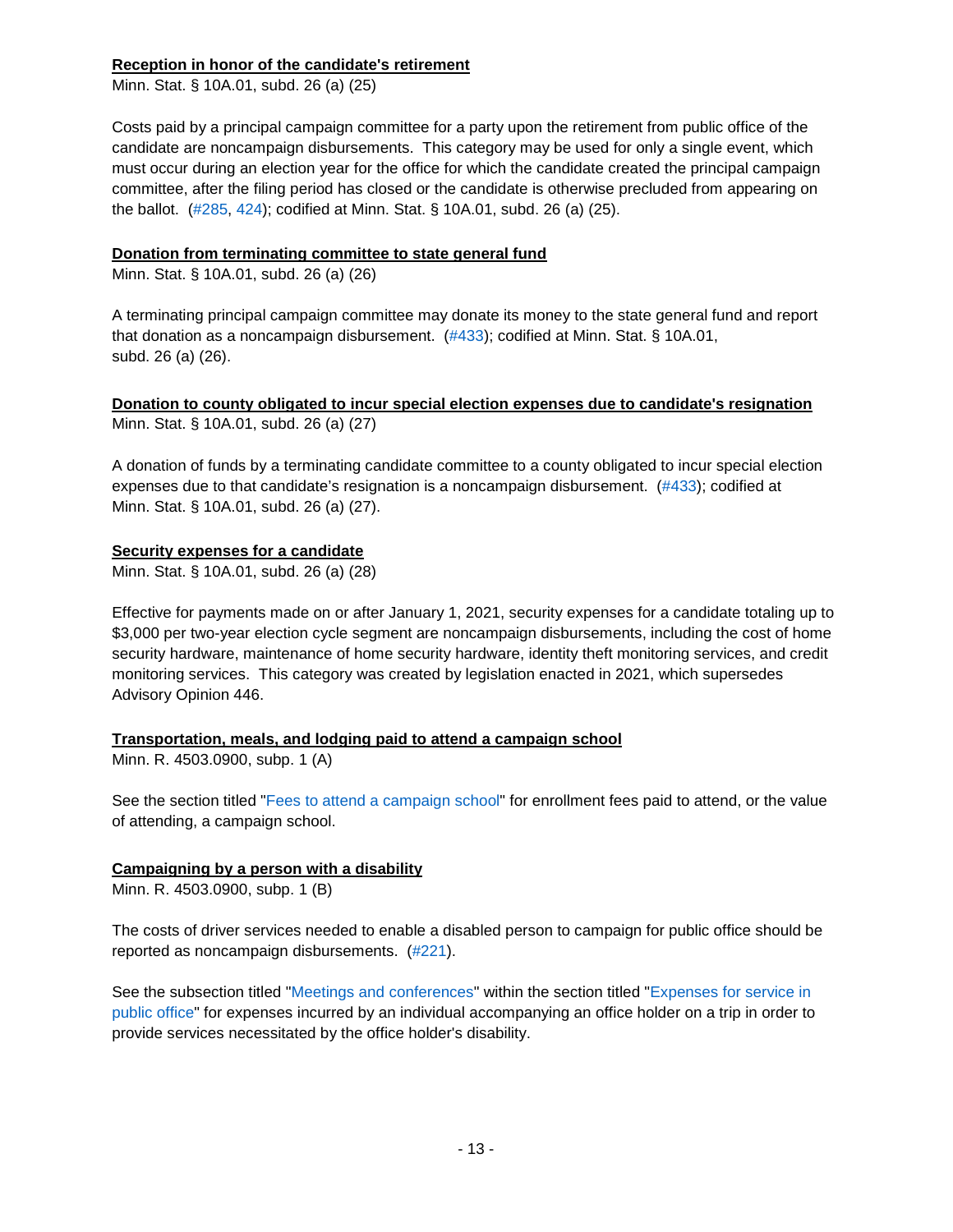## <span id="page-12-0"></span>**Reception in honor of the candidate's retirement**

Minn. Stat. § 10A.01, subd. 26 (a) (25)

Costs paid by a principal campaign committee for a party upon the retirement from public office of the candidate are noncampaign disbursements. This category may be used for only a single event, which must occur during an election year for the office for which the candidate created the principal campaign committee, after the filing period has closed or the candidate is otherwise precluded from appearing on the ballot. [\(#285,](https://cfb.mn.gov/pdf/advisory_opinions/AO285.pdf?t=1583507606) [424\)](https://cfb.mn.gov/pdf/advisory_opinions/AO424.pdf?t=1583506924); codified at Minn. Stat. § 10A.01, subd. 26 (a) (25).

## <span id="page-12-1"></span>**Donation from terminating committee to state general fund**

Minn. Stat. § 10A.01, subd. 26 (a) (26)

A terminating principal campaign committee may donate its money to the state general fund and report that donation as a noncampaign disbursement. [\(#433\)](https://cfb.mn.gov/pdf/advisory_opinions/AO433.pdf?t=1575322541); codified at Minn. Stat. § 10A.01, subd. 26 (a) (26).

<span id="page-12-2"></span>**Donation to county obligated to incur special election expenses due to candidate's resignation** Minn. Stat. § 10A.01, subd. 26 (a) (27)

A donation of funds by a terminating candidate committee to a county obligated to incur special election expenses due to that candidate's resignation is a noncampaign disbursement. [\(#433\)](https://cfb.mn.gov/pdf/advisory_opinions/AO433.pdf?t=1575322541); codified at Minn. Stat. § 10A.01, subd. 26 (a) (27).

## <span id="page-12-3"></span>**Security expenses for a candidate**

Minn. Stat. § 10A.01, subd. 26 (a) (28)

Effective for payments made on or after January 1, 2021, security expenses for a candidate totaling up to \$3,000 per two-year election cycle segment are noncampaign disbursements, including the cost of home security hardware, maintenance of home security hardware, identity theft monitoring services, and credit monitoring services. This category was created by legislation enacted in 2021, which supersedes Advisory Opinion 446.

## <span id="page-12-4"></span>**Transportation, meals, and lodging paid to attend a campaign school**

Minn. R. 4503.0900, subp. 1 (A)

See the section titled ["Fees to attend a campaign school"](#page-10-1) for enrollment fees paid to attend, or the value of attending, a campaign school.

## <span id="page-12-5"></span>**Campaigning by a person with a disability**

Minn. R. 4503.0900, subp. 1 (B)

The costs of driver services needed to enable a disabled person to campaign for public office should be reported as noncampaign disbursements. [\(#221\)](https://cfb.mn.gov/pdf/advisory_opinions/AO221.pdf?t=1583507681).

See the subsection titled ["Meetings and conferences"](#page-8-2) within the section titled ["Expenses for service in](#page-7-2)  [public office"](#page-7-2) for expenses incurred by an individual accompanying an office holder on a trip in order to provide services necessitated by the office holder's disability.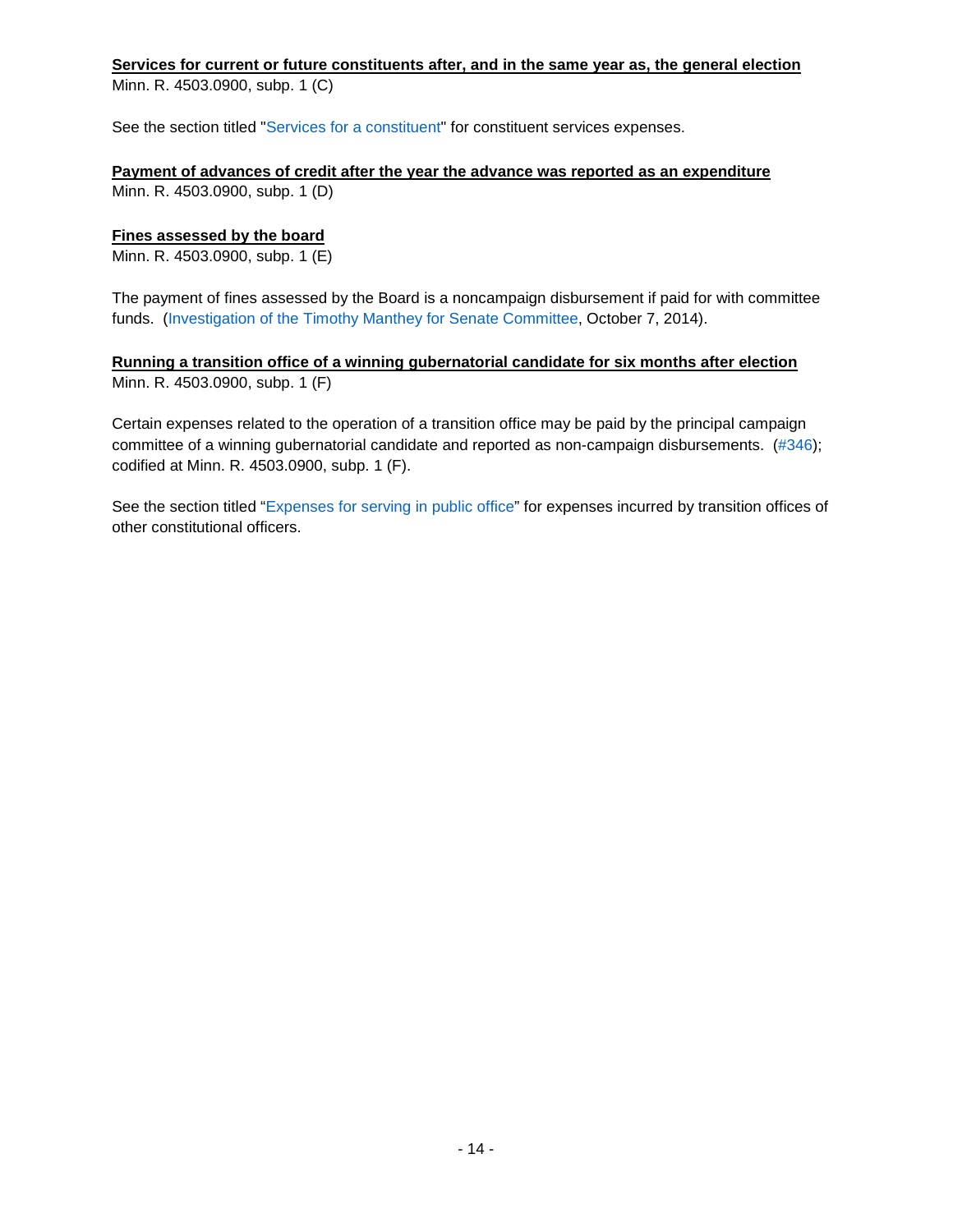## <span id="page-13-0"></span>**Services for current or future constituents after, and in the same year as, the general election**

Minn. R. 4503.0900, subp. 1 (C)

See the section titled ["Services for a constituent"](#page-3-4) for constituent services expenses.

#### <span id="page-13-1"></span>**Payment of advances of credit after the year the advance was reported as an expenditure** Minn. R. 4503.0900, subp. 1 (D)

## <span id="page-13-2"></span>**Fines assessed by the board**

Minn. R. 4503.0900, subp. 1 (E)

The payment of fines assessed by the Board is a noncampaign disbursement if paid for with committee funds. [\(Investigation of the Timothy Manthey for Senate Committee,](https://cfb.mn.gov/pdf/bdactions/1313_Findings.pdf?t=1583507412) October 7, 2014).

## <span id="page-13-3"></span>**Running a transition office of a winning gubernatorial candidate for six months after election** Minn. R. 4503.0900, subp. 1 (F)

Certain expenses related to the operation of a transition office may be paid by the principal campaign committee of a winning gubernatorial candidate and reported as non-campaign disbursements. [\(#346\)](https://cfb.mn.gov/pdf/advisory_opinions/AO346.pdf?t=1575322143); codified at Minn. R. 4503.0900, subp. 1 (F).

See the section titled ["Expenses for serving in public](#page-9-0) office" for expenses incurred by transition offices of other constitutional officers.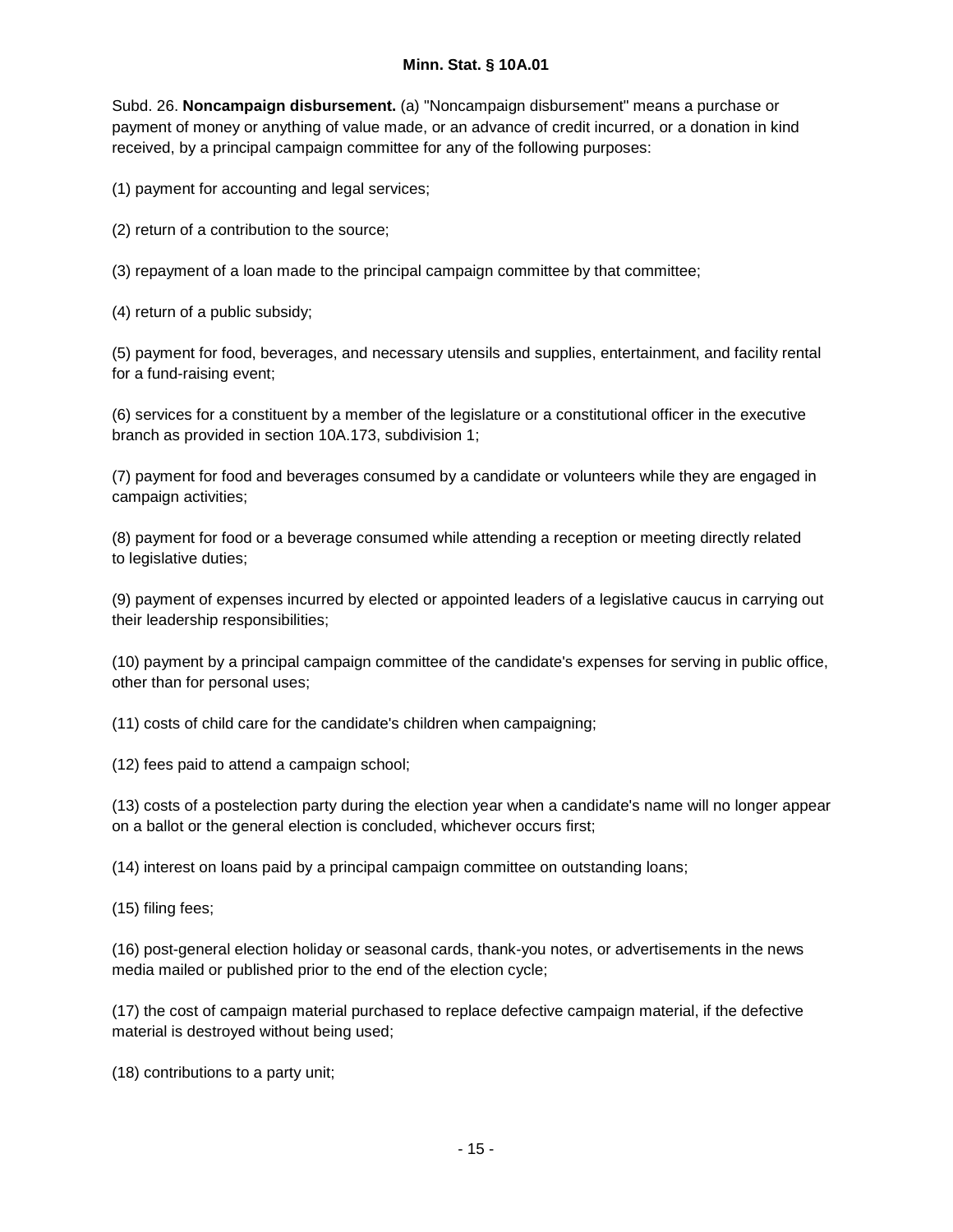## **Minn. Stat. § 10A.01**

<span id="page-14-0"></span>Subd. 26. **Noncampaign disbursement.** (a) "Noncampaign disbursement" means a purchase or payment of money or anything of value made, or an advance of credit incurred, or a donation in kind received, by a principal campaign committee for any of the following purposes:

(1) payment for accounting and legal services;

(2) return of a contribution to the source;

(3) repayment of a loan made to the principal campaign committee by that committee;

(4) return of a public subsidy;

(5) payment for food, beverages, and necessary utensils and supplies, entertainment, and facility rental for a fund-raising event;

(6) services for a constituent by a member of the legislature or a constitutional officer in the executive branch as provided in section 10A.173, subdivision 1;

(7) payment for food and beverages consumed by a candidate or volunteers while they are engaged in campaign activities;

(8) payment for food or a beverage consumed while attending a reception or meeting directly related to legislative duties;

(9) payment of expenses incurred by elected or appointed leaders of a legislative caucus in carrying out their leadership responsibilities;

(10) payment by a principal campaign committee of the candidate's expenses for serving in public office, other than for personal uses;

(11) costs of child care for the candidate's children when campaigning;

(12) fees paid to attend a campaign school;

(13) costs of a postelection party during the election year when a candidate's name will no longer appear on a ballot or the general election is concluded, whichever occurs first;

(14) interest on loans paid by a principal campaign committee on outstanding loans;

(15) filing fees;

(16) post-general election holiday or seasonal cards, thank-you notes, or advertisements in the news media mailed or published prior to the end of the election cycle;

(17) the cost of campaign material purchased to replace defective campaign material, if the defective material is destroyed without being used;

(18) contributions to a party unit;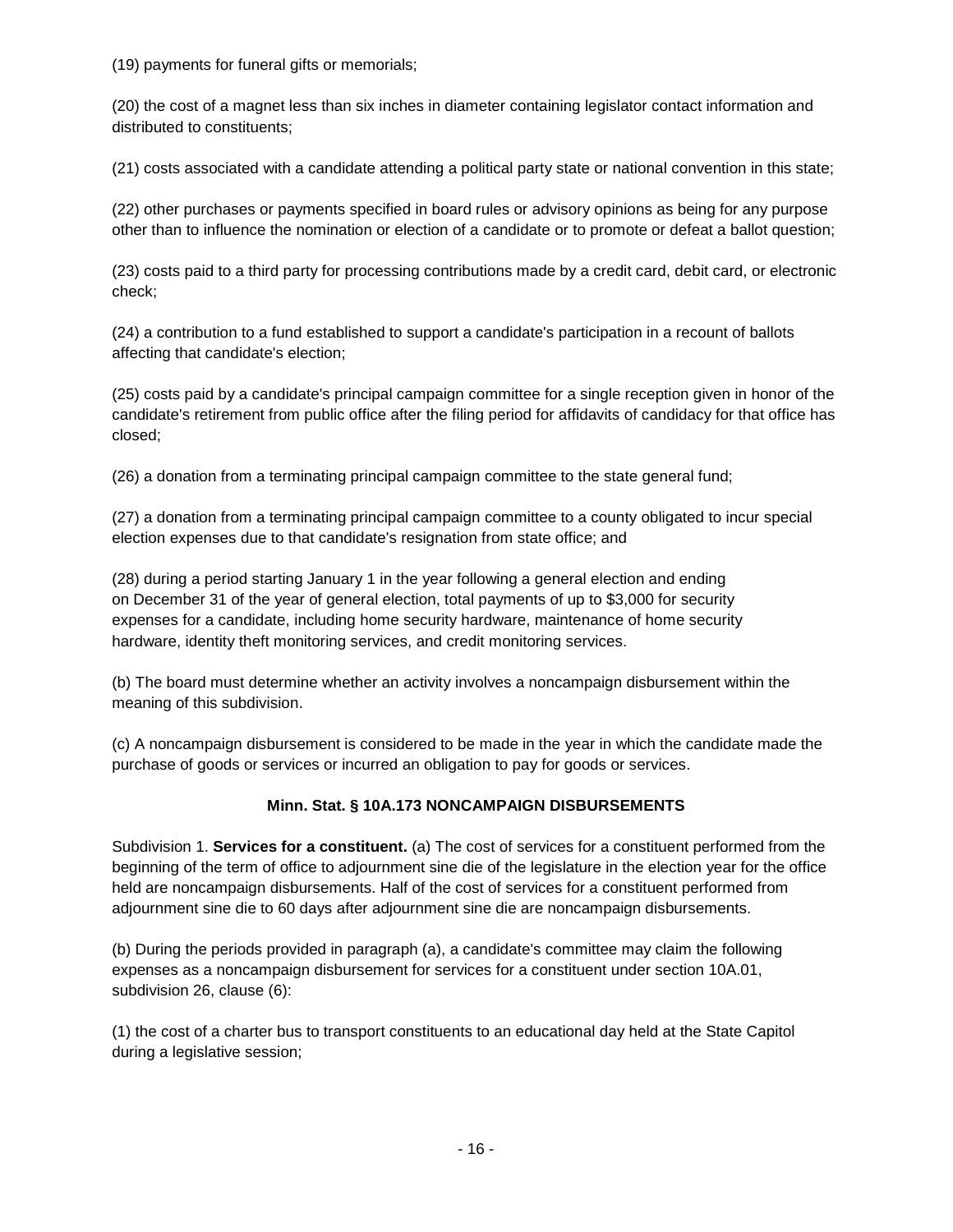(19) payments for funeral gifts or memorials;

(20) the cost of a magnet less than six inches in diameter containing legislator contact information and distributed to constituents;

(21) costs associated with a candidate attending a political party state or national convention in this state;

(22) other purchases or payments specified in board rules or advisory opinions as being for any purpose other than to influence the nomination or election of a candidate or to promote or defeat a ballot question;

(23) costs paid to a third party for processing contributions made by a credit card, debit card, or electronic check;

(24) a contribution to a fund established to support a candidate's participation in a recount of ballots affecting that candidate's election;

(25) costs paid by a candidate's principal campaign committee for a single reception given in honor of the candidate's retirement from public office after the filing period for affidavits of candidacy for that office has closed;

(26) a donation from a terminating principal campaign committee to the state general fund;

(27) a donation from a terminating principal campaign committee to a county obligated to incur special election expenses due to that candidate's resignation from state office; and

(28) during a period starting January 1 in the year following a general election and ending on December 31 of the year of general election, total payments of up to \$3,000 for security expenses for a candidate, including home security hardware, maintenance of home security hardware, identity theft monitoring services, and credit monitoring services.

(b) The board must determine whether an activity involves a noncampaign disbursement within the meaning of this subdivision.

(c) A noncampaign disbursement is considered to be made in the year in which the candidate made the purchase of goods or services or incurred an obligation to pay for goods or services.

## **Minn. Stat. § 10A.173 NONCAMPAIGN DISBURSEMENTS**

<span id="page-15-0"></span>Subdivision 1. **Services for a constituent.** (a) The cost of services for a constituent performed from the beginning of the term of office to adjournment sine die of the legislature in the election year for the office held are noncampaign disbursements. Half of the cost of services for a constituent performed from adjournment sine die to 60 days after adjournment sine die are noncampaign disbursements.

(b) During the periods provided in paragraph (a), a candidate's committee may claim the following expenses as a noncampaign disbursement for services for a constituent under section 10A.01, subdivision 26, clause (6):

(1) the cost of a charter bus to transport constituents to an educational day held at the State Capitol during a legislative session;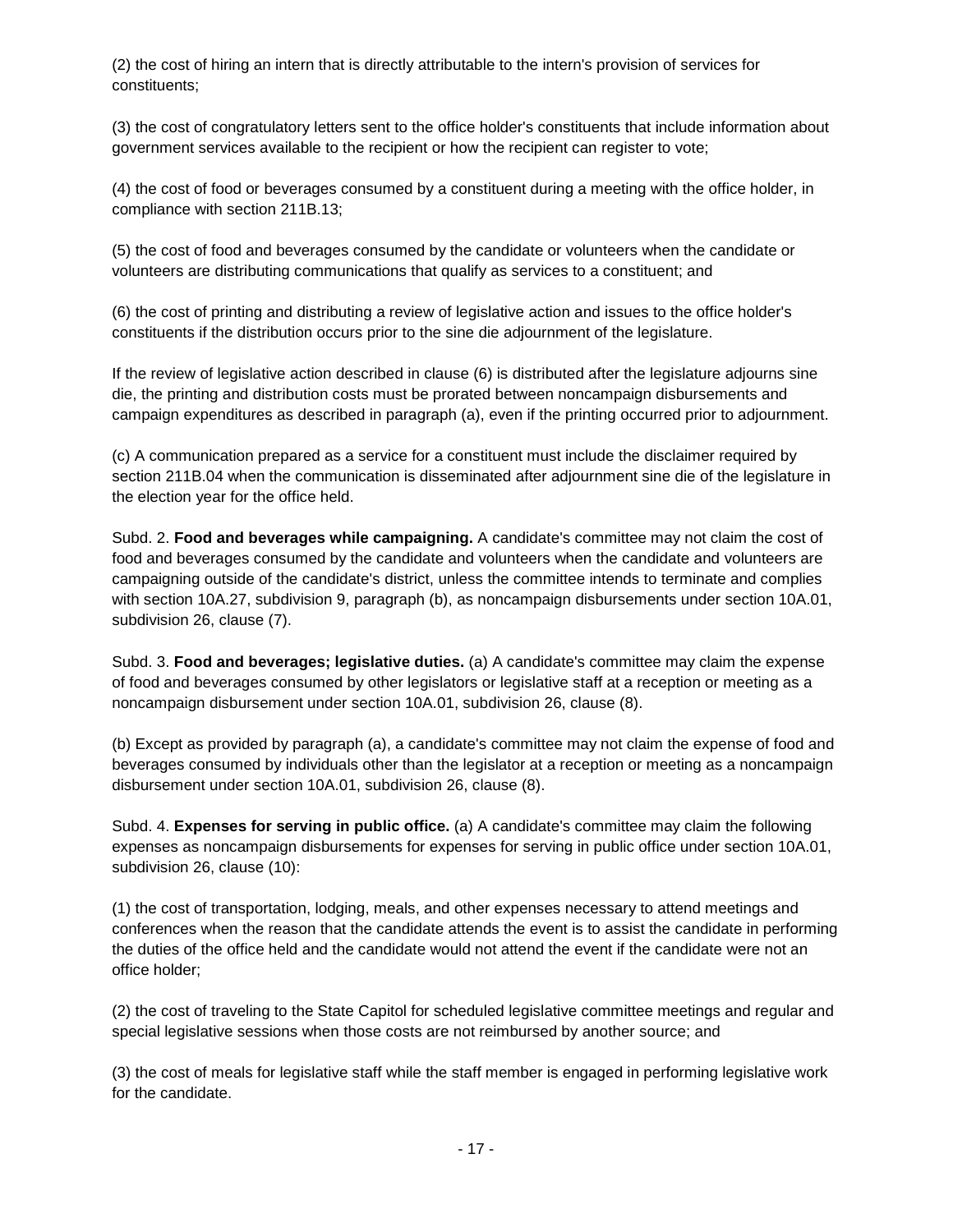(2) the cost of hiring an intern that is directly attributable to the intern's provision of services for constituents;

(3) the cost of congratulatory letters sent to the office holder's constituents that include information about government services available to the recipient or how the recipient can register to vote;

(4) the cost of food or beverages consumed by a constituent during a meeting with the office holder, in compliance with section 211B.13;

(5) the cost of food and beverages consumed by the candidate or volunteers when the candidate or volunteers are distributing communications that qualify as services to a constituent; and

(6) the cost of printing and distributing a review of legislative action and issues to the office holder's constituents if the distribution occurs prior to the sine die adjournment of the legislature.

If the review of legislative action described in clause (6) is distributed after the legislature adjourns sine die, the printing and distribution costs must be prorated between noncampaign disbursements and campaign expenditures as described in paragraph (a), even if the printing occurred prior to adjournment.

(c) A communication prepared as a service for a constituent must include the disclaimer required by section 211B.04 when the communication is disseminated after adjournment sine die of the legislature in the election year for the office held.

Subd. 2. **Food and beverages while campaigning.** A candidate's committee may not claim the cost of food and beverages consumed by the candidate and volunteers when the candidate and volunteers are campaigning outside of the candidate's district, unless the committee intends to terminate and complies with section 10A.27, subdivision 9, paragraph (b), as noncampaign disbursements under section 10A.01, subdivision 26, clause (7).

Subd. 3. **Food and beverages; legislative duties.** (a) A candidate's committee may claim the expense of food and beverages consumed by other legislators or legislative staff at a reception or meeting as a noncampaign disbursement under section 10A.01, subdivision 26, clause (8).

(b) Except as provided by paragraph (a), a candidate's committee may not claim the expense of food and beverages consumed by individuals other than the legislator at a reception or meeting as a noncampaign disbursement under section 10A.01, subdivision 26, clause (8).

Subd. 4. **Expenses for serving in public office.** (a) A candidate's committee may claim the following expenses as noncampaign disbursements for expenses for serving in public office under section 10A.01, subdivision 26, clause (10):

(1) the cost of transportation, lodging, meals, and other expenses necessary to attend meetings and conferences when the reason that the candidate attends the event is to assist the candidate in performing the duties of the office held and the candidate would not attend the event if the candidate were not an office holder;

(2) the cost of traveling to the State Capitol for scheduled legislative committee meetings and regular and special legislative sessions when those costs are not reimbursed by another source; and

(3) the cost of meals for legislative staff while the staff member is engaged in performing legislative work for the candidate.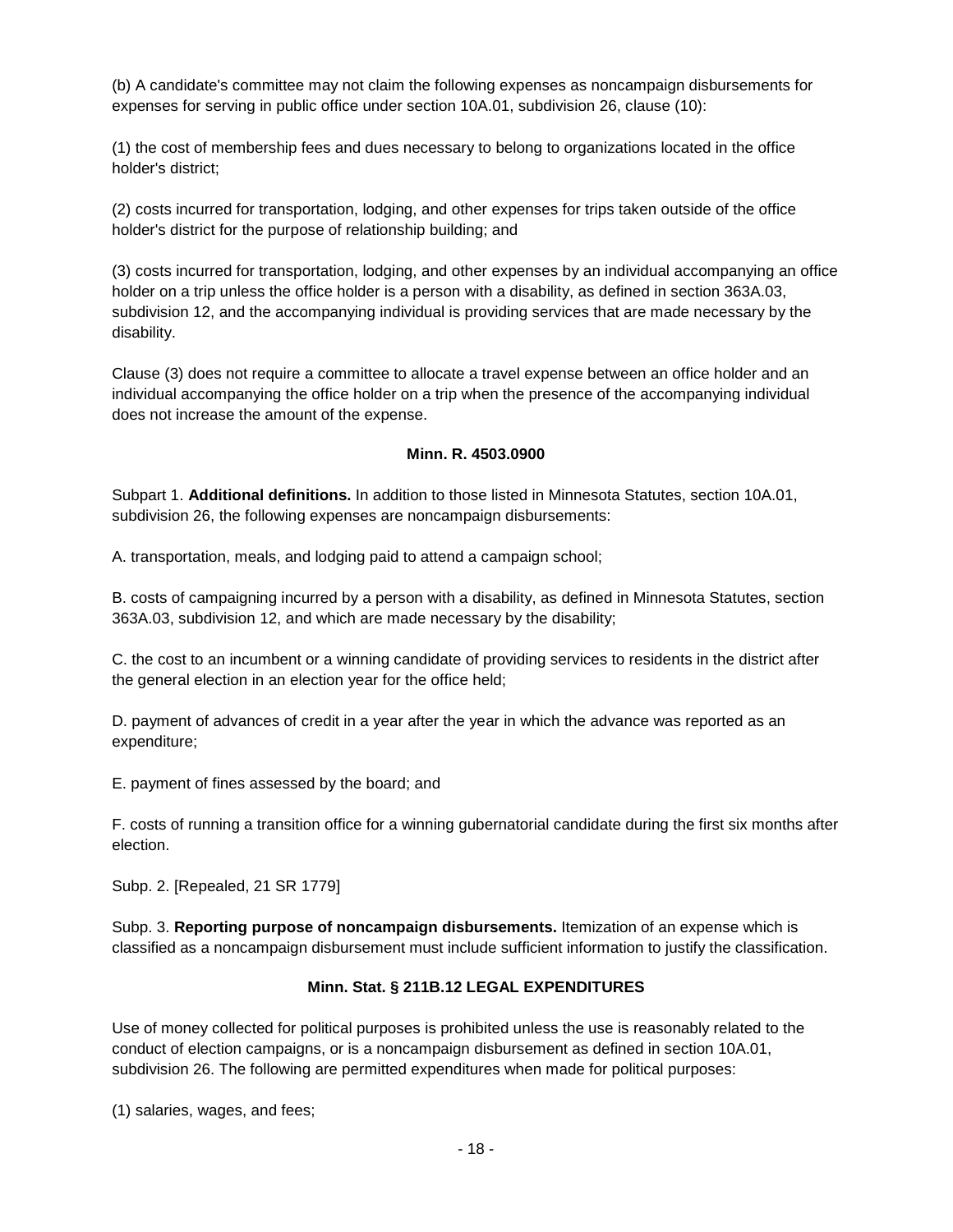(b) A candidate's committee may not claim the following expenses as noncampaign disbursements for expenses for serving in public office under section 10A.01, subdivision 26, clause (10):

(1) the cost of membership fees and dues necessary to belong to organizations located in the office holder's district;

(2) costs incurred for transportation, lodging, and other expenses for trips taken outside of the office holder's district for the purpose of relationship building; and

(3) costs incurred for transportation, lodging, and other expenses by an individual accompanying an office holder on a trip unless the office holder is a person with a disability, as defined in section 363A.03, subdivision 12, and the accompanying individual is providing services that are made necessary by the disability.

<span id="page-17-0"></span>Clause (3) does not require a committee to allocate a travel expense between an office holder and an individual accompanying the office holder on a trip when the presence of the accompanying individual does not increase the amount of the expense.

#### **Minn. R. 4503.0900**

Subpart 1. **Additional definitions.** In addition to those listed in Minnesota Statutes, section 10A.01, subdivision 26, the following expenses are noncampaign disbursements:

A. transportation, meals, and lodging paid to attend a campaign school;

B. costs of campaigning incurred by a person with a disability, as defined in Minnesota Statutes, section 363A.03, subdivision 12, and which are made necessary by the disability;

C. the cost to an incumbent or a winning candidate of providing services to residents in the district after the general election in an election year for the office held;

D. payment of advances of credit in a year after the year in which the advance was reported as an expenditure;

E. payment of fines assessed by the board; and

F. costs of running a transition office for a winning gubernatorial candidate during the first six months after election.

Subp. 2. [Repealed, 21 SR 1779]

<span id="page-17-1"></span>Subp. 3. **Reporting purpose of noncampaign disbursements.** Itemization of an expense which is classified as a noncampaign disbursement must include sufficient information to justify the classification.

## **Minn. Stat. § 211B.12 LEGAL EXPENDITURES**

Use of money collected for political purposes is prohibited unless the use is reasonably related to the conduct of election campaigns, or is a noncampaign disbursement as defined in section 10A.01, subdivision 26. The following are permitted expenditures when made for political purposes:

(1) salaries, wages, and fees;